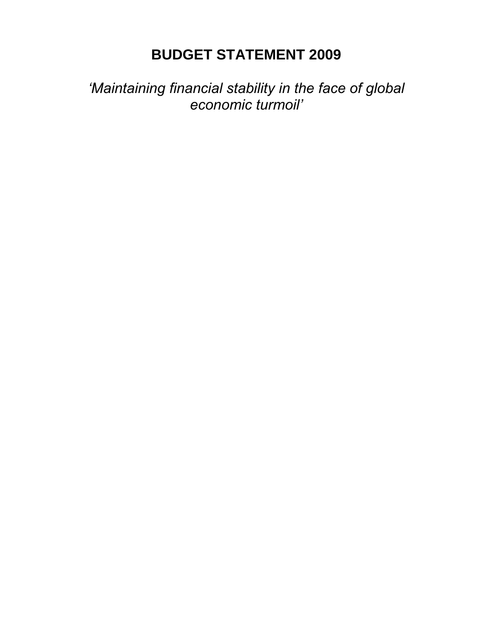# **BUDGET STATEMENT 2009**

*'Maintaining financial stability in the face of global economic turmoil'*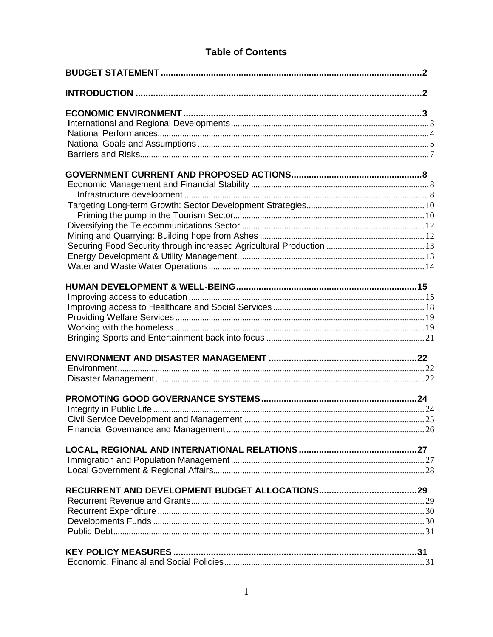## **Table of Contents**

| <b>KEY POLICY MEASURES</b> |  |
|----------------------------|--|
|                            |  |
|                            |  |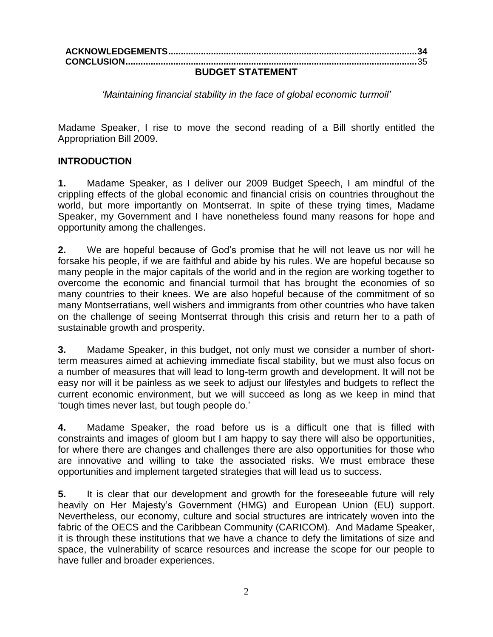| ----------------- |  |  |
|-------------------|--|--|

#### **BUDGET STATEMENT**

*'Maintaining financial stability in the face of global economic turmoil'*

Madame Speaker, I rise to move the second reading of a Bill shortly entitled the Appropriation Bill 2009.

#### **INTRODUCTION**

**1.** Madame Speaker, as I deliver our 2009 Budget Speech, I am mindful of the crippling effects of the global economic and financial crisis on countries throughout the world, but more importantly on Montserrat. In spite of these trying times, Madame Speaker, my Government and I have nonetheless found many reasons for hope and opportunity among the challenges.

**2.** We are hopeful because of God"s promise that he will not leave us nor will he forsake his people, if we are faithful and abide by his rules. We are hopeful because so many people in the major capitals of the world and in the region are working together to overcome the economic and financial turmoil that has brought the economies of so many countries to their knees. We are also hopeful because of the commitment of so many Montserratians, well wishers and immigrants from other countries who have taken on the challenge of seeing Montserrat through this crisis and return her to a path of sustainable growth and prosperity.

**3.** Madame Speaker, in this budget, not only must we consider a number of shortterm measures aimed at achieving immediate fiscal stability, but we must also focus on a number of measures that will lead to long-term growth and development. It will not be easy nor will it be painless as we seek to adjust our lifestyles and budgets to reflect the current economic environment, but we will succeed as long as we keep in mind that "tough times never last, but tough people do."

**4.** Madame Speaker, the road before us is a difficult one that is filled with constraints and images of gloom but I am happy to say there will also be opportunities, for where there are changes and challenges there are also opportunities for those who are innovative and willing to take the associated risks. We must embrace these opportunities and implement targeted strategies that will lead us to success.

**5.** It is clear that our development and growth for the foreseeable future will rely heavily on Her Majesty's Government (HMG) and European Union (EU) support. Nevertheless, our economy, culture and social structures are intricately woven into the fabric of the OECS and the Caribbean Community (CARICOM). And Madame Speaker, it is through these institutions that we have a chance to defy the limitations of size and space, the vulnerability of scarce resources and increase the scope for our people to have fuller and broader experiences.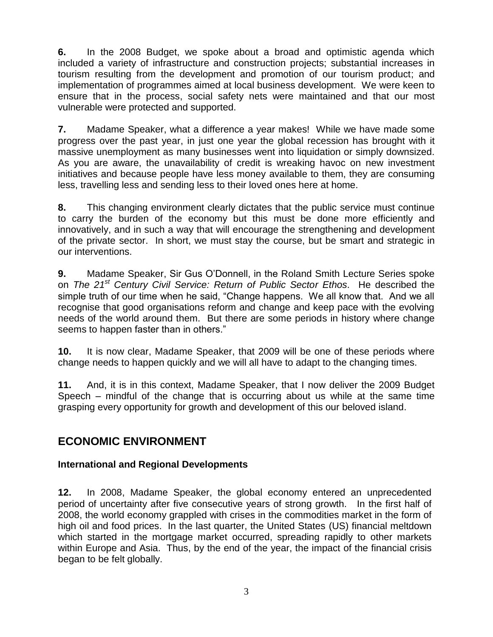**6.** In the 2008 Budget, we spoke about a broad and optimistic agenda which included a variety of infrastructure and construction projects; substantial increases in tourism resulting from the development and promotion of our tourism product; and implementation of programmes aimed at local business development. We were keen to ensure that in the process, social safety nets were maintained and that our most vulnerable were protected and supported.

**7.** Madame Speaker, what a difference a year makes! While we have made some progress over the past year, in just one year the global recession has brought with it massive unemployment as many businesses went into liquidation or simply downsized. As you are aware, the unavailability of credit is wreaking havoc on new investment initiatives and because people have less money available to them, they are consuming less, travelling less and sending less to their loved ones here at home.

**8.** This changing environment clearly dictates that the public service must continue to carry the burden of the economy but this must be done more efficiently and innovatively, and in such a way that will encourage the strengthening and development of the private sector. In short, we must stay the course, but be smart and strategic in our interventions.

**9.** Madame Speaker, Sir Gus O"Donnell, in the Roland Smith Lecture Series spoke on *The 21st Century Civil Service: Return of Public Sector Ethos*. He described the simple truth of our time when he said, "Change happens. We all know that. And we all recognise that good organisations reform and change and keep pace with the evolving needs of the world around them. But there are some periods in history where change seems to happen faster than in others."

**10.** It is now clear, Madame Speaker, that 2009 will be one of these periods where change needs to happen quickly and we will all have to adapt to the changing times.

**11.** And, it is in this context, Madame Speaker, that I now deliver the 2009 Budget Speech – mindful of the change that is occurring about us while at the same time grasping every opportunity for growth and development of this our beloved island.

## **ECONOMIC ENVIRONMENT**

## **International and Regional Developments**

**12.** In 2008, Madame Speaker, the global economy entered an unprecedented period of uncertainty after five consecutive years of strong growth. In the first half of 2008, the world economy grappled with crises in the commodities market in the form of high oil and food prices. In the last quarter, the United States (US) financial meltdown which started in the mortgage market occurred, spreading rapidly to other markets within Europe and Asia. Thus, by the end of the year, the impact of the financial crisis began to be felt globally.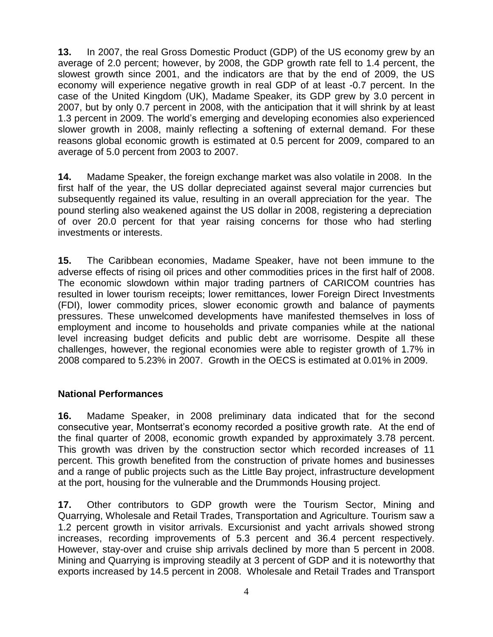**13.** In 2007, the real Gross Domestic Product (GDP) of the US economy grew by an average of 2.0 percent; however, by 2008, the GDP growth rate fell to 1.4 percent, the slowest growth since 2001, and the indicators are that by the end of 2009, the US economy will experience negative growth in real GDP of at least -0.7 percent. In the case of the United Kingdom (UK), Madame Speaker, its GDP grew by 3.0 percent in 2007, but by only 0.7 percent in 2008, with the anticipation that it will shrink by at least 1.3 percent in 2009. The world"s emerging and developing economies also experienced slower growth in 2008, mainly reflecting a softening of external demand. For these reasons global economic growth is estimated at 0.5 percent for 2009, compared to an average of 5.0 percent from 2003 to 2007.

**14.** Madame Speaker, the foreign exchange market was also volatile in 2008. In the first half of the year, the US dollar depreciated against several major currencies but subsequently regained its value, resulting in an overall appreciation for the year. The pound sterling also weakened against the US dollar in 2008, registering a depreciation of over 20.0 percent for that year raising concerns for those who had sterling investments or interests.

**15.** The Caribbean economies, Madame Speaker, have not been immune to the adverse effects of rising oil prices and other commodities prices in the first half of 2008. The economic slowdown within major trading partners of CARICOM countries has resulted in lower tourism receipts; lower remittances, lower Foreign Direct Investments (FDI), lower commodity prices, slower economic growth and balance of payments pressures. These unwelcomed developments have manifested themselves in loss of employment and income to households and private companies while at the national level increasing budget deficits and public debt are worrisome. Despite all these challenges, however, the regional economies were able to register growth of 1.7% in 2008 compared to 5.23% in 2007. Growth in the OECS is estimated at 0.01% in 2009.

#### **National Performances**

**16.** Madame Speaker, in 2008 preliminary data indicated that for the second consecutive year, Montserrat"s economy recorded a positive growth rate. At the end of the final quarter of 2008, economic growth expanded by approximately 3.78 percent. This growth was driven by the construction sector which recorded increases of 11 percent. This growth benefited from the construction of private homes and businesses and a range of public projects such as the Little Bay project, infrastructure development at the port, housing for the vulnerable and the Drummonds Housing project.

**17.** Other contributors to GDP growth were the Tourism Sector, Mining and Quarrying, Wholesale and Retail Trades, Transportation and Agriculture. Tourism saw a 1.2 percent growth in visitor arrivals. Excursionist and yacht arrivals showed strong increases, recording improvements of 5.3 percent and 36.4 percent respectively. However, stay-over and cruise ship arrivals declined by more than 5 percent in 2008. Mining and Quarrying is improving steadily at 3 percent of GDP and it is noteworthy that exports increased by 14.5 percent in 2008. Wholesale and Retail Trades and Transport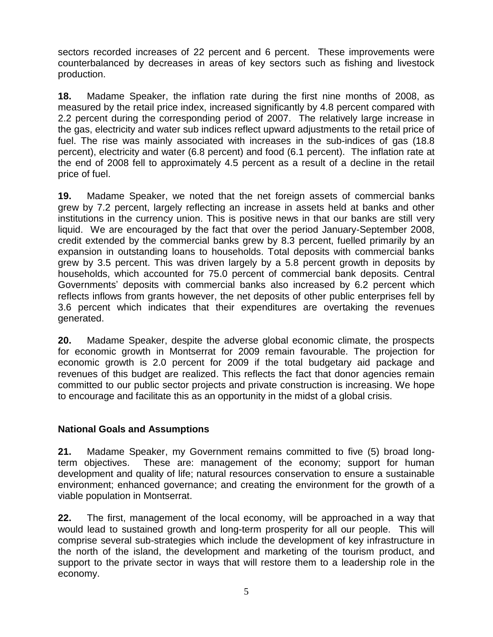sectors recorded increases of 22 percent and 6 percent. These improvements were counterbalanced by decreases in areas of key sectors such as fishing and livestock production.

**18.** Madame Speaker, the inflation rate during the first nine months of 2008, as measured by the retail price index, increased significantly by 4.8 percent compared with 2.2 percent during the corresponding period of 2007. The relatively large increase in the gas, electricity and water sub indices reflect upward adjustments to the retail price of fuel. The rise was mainly associated with increases in the sub-indices of gas (18.8 percent), electricity and water (6.8 percent) and food (6.1 percent). The inflation rate at the end of 2008 fell to approximately 4.5 percent as a result of a decline in the retail price of fuel.

**19.** Madame Speaker, we noted that the net foreign assets of commercial banks grew by 7.2 percent, largely reflecting an increase in assets held at banks and other institutions in the currency union. This is positive news in that our banks are still very liquid. We are encouraged by the fact that over the period January-September 2008, credit extended by the commercial banks grew by 8.3 percent, fuelled primarily by an expansion in outstanding loans to households. Total deposits with commercial banks grew by 3.5 percent. This was driven largely by a 5.8 percent growth in deposits by households, which accounted for 75.0 percent of commercial bank deposits. Central Governments" deposits with commercial banks also increased by 6.2 percent which reflects inflows from grants however, the net deposits of other public enterprises fell by 3.6 percent which indicates that their expenditures are overtaking the revenues generated.

**20.** Madame Speaker, despite the adverse global economic climate, the prospects for economic growth in Montserrat for 2009 remain favourable. The projection for economic growth is 2.0 percent for 2009 if the total budgetary aid package and revenues of this budget are realized. This reflects the fact that donor agencies remain committed to our public sector projects and private construction is increasing. We hope to encourage and facilitate this as an opportunity in the midst of a global crisis.

#### **National Goals and Assumptions**

**21.** Madame Speaker, my Government remains committed to five (5) broad longterm objectives. These are: management of the economy; support for human development and quality of life; natural resources conservation to ensure a sustainable environment; enhanced governance; and creating the environment for the growth of a viable population in Montserrat.

**22.** The first, management of the local economy, will be approached in a way that would lead to sustained growth and long-term prosperity for all our people. This will comprise several sub-strategies which include the development of key infrastructure in the north of the island, the development and marketing of the tourism product, and support to the private sector in ways that will restore them to a leadership role in the economy.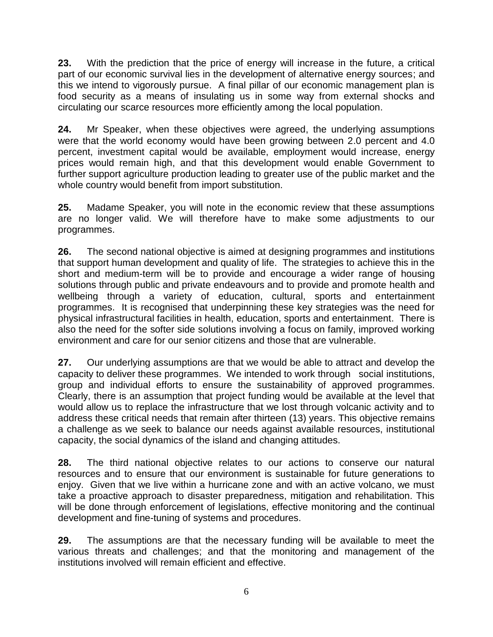**23.** With the prediction that the price of energy will increase in the future, a critical part of our economic survival lies in the development of alternative energy sources; and this we intend to vigorously pursue. A final pillar of our economic management plan is food security as a means of insulating us in some way from external shocks and circulating our scarce resources more efficiently among the local population.

**24.** Mr Speaker, when these objectives were agreed, the underlying assumptions were that the world economy would have been growing between 2.0 percent and 4.0 percent, investment capital would be available, employment would increase, energy prices would remain high, and that this development would enable Government to further support agriculture production leading to greater use of the public market and the whole country would benefit from import substitution.

**25.** Madame Speaker, you will note in the economic review that these assumptions are no longer valid. We will therefore have to make some adjustments to our programmes.

**26.** The second national objective is aimed at designing programmes and institutions that support human development and quality of life. The strategies to achieve this in the short and medium-term will be to provide and encourage a wider range of housing solutions through public and private endeavours and to provide and promote health and wellbeing through a variety of education, cultural, sports and entertainment programmes. It is recognised that underpinning these key strategies was the need for physical infrastructural facilities in health, education, sports and entertainment. There is also the need for the softer side solutions involving a focus on family, improved working environment and care for our senior citizens and those that are vulnerable.

**27.** Our underlying assumptions are that we would be able to attract and develop the capacity to deliver these programmes. We intended to work through social institutions, group and individual efforts to ensure the sustainability of approved programmes. Clearly, there is an assumption that project funding would be available at the level that would allow us to replace the infrastructure that we lost through volcanic activity and to address these critical needs that remain after thirteen (13) years. This objective remains a challenge as we seek to balance our needs against available resources, institutional capacity, the social dynamics of the island and changing attitudes.

**28.** The third national objective relates to our actions to conserve our natural resources and to ensure that our environment is sustainable for future generations to enjoy. Given that we live within a hurricane zone and with an active volcano, we must take a proactive approach to disaster preparedness, mitigation and rehabilitation. This will be done through enforcement of legislations, effective monitoring and the continual development and fine-tuning of systems and procedures.

**29.** The assumptions are that the necessary funding will be available to meet the various threats and challenges; and that the monitoring and management of the institutions involved will remain efficient and effective.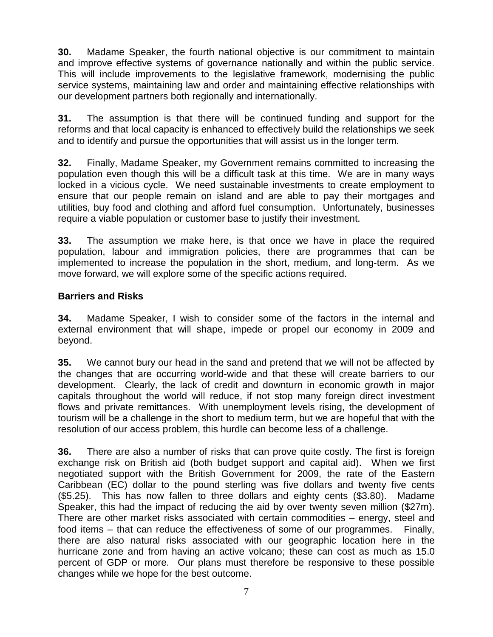**30.** Madame Speaker, the fourth national objective is our commitment to maintain and improve effective systems of governance nationally and within the public service. This will include improvements to the legislative framework, modernising the public service systems, maintaining law and order and maintaining effective relationships with our development partners both regionally and internationally.

**31.** The assumption is that there will be continued funding and support for the reforms and that local capacity is enhanced to effectively build the relationships we seek and to identify and pursue the opportunities that will assist us in the longer term.

**32.** Finally, Madame Speaker, my Government remains committed to increasing the population even though this will be a difficult task at this time. We are in many ways locked in a vicious cycle. We need sustainable investments to create employment to ensure that our people remain on island and are able to pay their mortgages and utilities, buy food and clothing and afford fuel consumption. Unfortunately, businesses require a viable population or customer base to justify their investment.

**33.** The assumption we make here, is that once we have in place the required population, labour and immigration policies, there are programmes that can be implemented to increase the population in the short, medium, and long-term. As we move forward, we will explore some of the specific actions required.

## **Barriers and Risks**

**34.** Madame Speaker, I wish to consider some of the factors in the internal and external environment that will shape, impede or propel our economy in 2009 and beyond.

**35.** We cannot bury our head in the sand and pretend that we will not be affected by the changes that are occurring world-wide and that these will create barriers to our development. Clearly, the lack of credit and downturn in economic growth in major capitals throughout the world will reduce, if not stop many foreign direct investment flows and private remittances. With unemployment levels rising, the development of tourism will be a challenge in the short to medium term, but we are hopeful that with the resolution of our access problem, this hurdle can become less of a challenge.

**36.** There are also a number of risks that can prove quite costly. The first is foreign exchange risk on British aid (both budget support and capital aid). When we first negotiated support with the British Government for 2009, the rate of the Eastern Caribbean (EC) dollar to the pound sterling was five dollars and twenty five cents (\$5.25). This has now fallen to three dollars and eighty cents (\$3.80). Madame Speaker, this had the impact of reducing the aid by over twenty seven million (\$27m). There are other market risks associated with certain commodities – energy, steel and food items – that can reduce the effectiveness of some of our programmes. Finally, there are also natural risks associated with our geographic location here in the hurricane zone and from having an active volcano; these can cost as much as 15.0 percent of GDP or more. Our plans must therefore be responsive to these possible changes while we hope for the best outcome.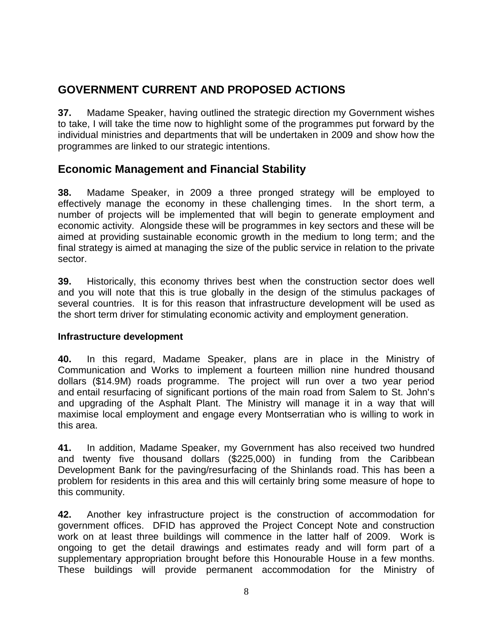## **GOVERNMENT CURRENT AND PROPOSED ACTIONS**

**37.** Madame Speaker, having outlined the strategic direction my Government wishes to take, I will take the time now to highlight some of the programmes put forward by the individual ministries and departments that will be undertaken in 2009 and show how the programmes are linked to our strategic intentions.

## **Economic Management and Financial Stability**

**38.** Madame Speaker, in 2009 a three pronged strategy will be employed to effectively manage the economy in these challenging times. In the short term, a number of projects will be implemented that will begin to generate employment and economic activity. Alongside these will be programmes in key sectors and these will be aimed at providing sustainable economic growth in the medium to long term; and the final strategy is aimed at managing the size of the public service in relation to the private sector.

**39.** Historically, this economy thrives best when the construction sector does well and you will note that this is true globally in the design of the stimulus packages of several countries. It is for this reason that infrastructure development will be used as the short term driver for stimulating economic activity and employment generation.

#### **Infrastructure development**

**40.** In this regard, Madame Speaker, plans are in place in the Ministry of Communication and Works to implement a fourteen million nine hundred thousand dollars (\$14.9M) roads programme. The project will run over a two year period and entail resurfacing of significant portions of the main road from Salem to St. John's and upgrading of the Asphalt Plant. The Ministry will manage it in a way that will maximise local employment and engage every Montserratian who is willing to work in this area.

**41.** In addition, Madame Speaker, my Government has also received two hundred and twenty five thousand dollars (\$225,000) in funding from the Caribbean Development Bank for the paving/resurfacing of the Shinlands road. This has been a problem for residents in this area and this will certainly bring some measure of hope to this community.

**42.** Another key infrastructure project is the construction of accommodation for government offices. DFID has approved the Project Concept Note and construction work on at least three buildings will commence in the latter half of 2009. Work is ongoing to get the detail drawings and estimates ready and will form part of a supplementary appropriation brought before this Honourable House in a few months. These buildings will provide permanent accommodation for the Ministry of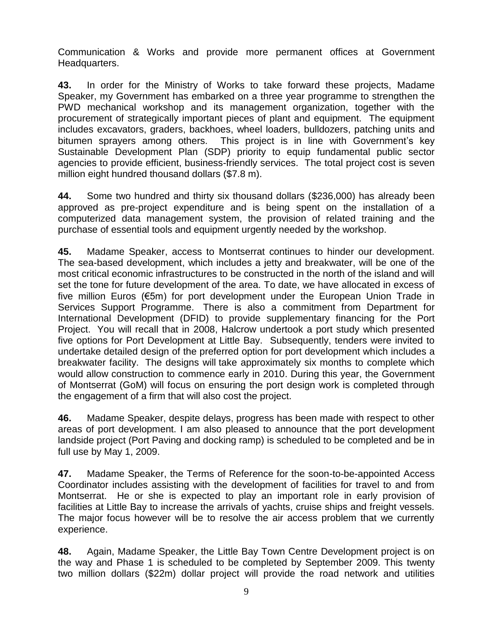Communication & Works and provide more permanent offices at Government Headquarters.

**43.** In order for the Ministry of Works to take forward these projects, Madame Speaker, my Government has embarked on a three year programme to strengthen the PWD mechanical workshop and its management organization, together with the procurement of strategically important pieces of plant and equipment. The equipment includes excavators, graders, backhoes, wheel loaders, bulldozers, patching units and bitumen sprayers among others. This project is in line with Government's key Sustainable Development Plan (SDP) priority to equip fundamental public sector agencies to provide efficient, business-friendly services. The total project cost is seven million eight hundred thousand dollars (\$7.8 m).

**44.** Some two hundred and thirty six thousand dollars (\$236,000) has already been approved as pre-project expenditure and is being spent on the installation of a computerized data management system, the provision of related training and the purchase of essential tools and equipment urgently needed by the workshop.

**45.** Madame Speaker, access to Montserrat continues to hinder our development. The sea-based development, which includes a jetty and breakwater, will be one of the most critical economic infrastructures to be constructed in the north of the island and will set the tone for future development of the area. To date, we have allocated in excess of five million Euros (€5m) for port development under the European Union Trade in Services Support Programme. There is also a commitment from Department for International Development (DFID) to provide supplementary financing for the Port Project. You will recall that in 2008, Halcrow undertook a port study which presented five options for Port Development at Little Bay. Subsequently, tenders were invited to undertake detailed design of the preferred option for port development which includes a breakwater facility. The designs will take approximately six months to complete which would allow construction to commence early in 2010. During this year, the Government of Montserrat (GoM) will focus on ensuring the port design work is completed through the engagement of a firm that will also cost the project.

**46.** Madame Speaker, despite delays, progress has been made with respect to other areas of port development. I am also pleased to announce that the port development landside project (Port Paving and docking ramp) is scheduled to be completed and be in full use by May 1, 2009.

**47.** Madame Speaker, the Terms of Reference for the soon-to-be-appointed Access Coordinator includes assisting with the development of facilities for travel to and from Montserrat. He or she is expected to play an important role in early provision of facilities at Little Bay to increase the arrivals of yachts, cruise ships and freight vessels. The major focus however will be to resolve the air access problem that we currently experience.

**48.** Again, Madame Speaker, the Little Bay Town Centre Development project is on the way and Phase 1 is scheduled to be completed by September 2009. This twenty two million dollars (\$22m) dollar project will provide the road network and utilities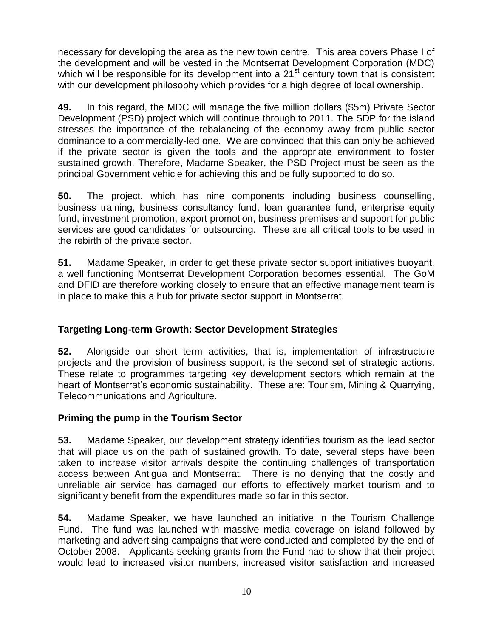necessary for developing the area as the new town centre. This area covers Phase I of the development and will be vested in the Montserrat Development Corporation (MDC) which will be responsible for its development into a 21<sup>st</sup> century town that is consistent with our development philosophy which provides for a high degree of local ownership.

**49.** In this regard, the MDC will manage the five million dollars (\$5m) Private Sector Development (PSD) project which will continue through to 2011. The SDP for the island stresses the importance of the rebalancing of the economy away from public sector dominance to a commercially-led one. We are convinced that this can only be achieved if the private sector is given the tools and the appropriate environment to foster sustained growth. Therefore, Madame Speaker, the PSD Project must be seen as the principal Government vehicle for achieving this and be fully supported to do so.

**50.** The project, which has nine components including business counselling, business training, business consultancy fund, loan guarantee fund, enterprise equity fund, investment promotion, export promotion, business premises and support for public services are good candidates for outsourcing. These are all critical tools to be used in the rebirth of the private sector.

**51.** Madame Speaker, in order to get these private sector support initiatives buoyant, a well functioning Montserrat Development Corporation becomes essential. The GoM and DFID are therefore working closely to ensure that an effective management team is in place to make this a hub for private sector support in Montserrat.

## **Targeting Long-term Growth: Sector Development Strategies**

**52.** Alongside our short term activities, that is, implementation of infrastructure projects and the provision of business support, is the second set of strategic actions. These relate to programmes targeting key development sectors which remain at the heart of Montserrat's economic sustainability. These are: Tourism, Mining & Quarrying, Telecommunications and Agriculture.

## **Priming the pump in the Tourism Sector**

**53.** Madame Speaker, our development strategy identifies tourism as the lead sector that will place us on the path of sustained growth. To date, several steps have been taken to increase visitor arrivals despite the continuing challenges of transportation access between Antigua and Montserrat. There is no denying that the costly and unreliable air service has damaged our efforts to effectively market tourism and to significantly benefit from the expenditures made so far in this sector.

**54.** Madame Speaker, we have launched an initiative in the Tourism Challenge Fund. The fund was launched with massive media coverage on island followed by marketing and advertising campaigns that were conducted and completed by the end of October 2008. Applicants seeking grants from the Fund had to show that their project would lead to increased visitor numbers, increased visitor satisfaction and increased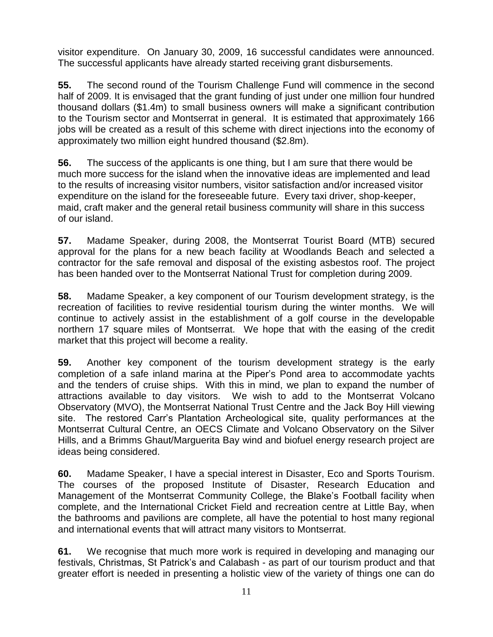visitor expenditure. On January 30, 2009, 16 successful candidates were announced. The successful applicants have already started receiving grant disbursements.

**55.** The second round of the Tourism Challenge Fund will commence in the second half of 2009. It is envisaged that the grant funding of just under one million four hundred thousand dollars (\$1.4m) to small business owners will make a significant contribution to the Tourism sector and Montserrat in general. It is estimated that approximately 166 jobs will be created as a result of this scheme with direct injections into the economy of approximately two million eight hundred thousand (\$2.8m).

**56.** The success of the applicants is one thing, but I am sure that there would be much more success for the island when the innovative ideas are implemented and lead to the results of increasing visitor numbers, visitor satisfaction and/or increased visitor expenditure on the island for the foreseeable future. Every taxi driver, shop-keeper, maid, craft maker and the general retail business community will share in this success of our island.

**57.** Madame Speaker, during 2008, the Montserrat Tourist Board (MTB) secured approval for the plans for a new beach facility at Woodlands Beach and selected a contractor for the safe removal and disposal of the existing asbestos roof. The project has been handed over to the Montserrat National Trust for completion during 2009.

**58.** Madame Speaker, a key component of our Tourism development strategy, is the recreation of facilities to revive residential tourism during the winter months. We will continue to actively assist in the establishment of a golf course in the developable northern 17 square miles of Montserrat. We hope that with the easing of the credit market that this project will become a reality.

**59.** Another key component of the tourism development strategy is the early completion of a safe inland marina at the Piper"s Pond area to accommodate yachts and the tenders of cruise ships. With this in mind, we plan to expand the number of attractions available to day visitors. We wish to add to the Montserrat Volcano Observatory (MVO), the Montserrat National Trust Centre and the Jack Boy Hill viewing site. The restored Carr"s Plantation Archeological site, quality performances at the Montserrat Cultural Centre, an OECS Climate and Volcano Observatory on the Silver Hills, and a Brimms Ghaut/Marguerita Bay wind and biofuel energy research project are ideas being considered.

**60.** Madame Speaker, I have a special interest in Disaster, Eco and Sports Tourism. The courses of the proposed Institute of Disaster, Research Education and Management of the Montserrat Community College, the Blake"s Football facility when complete, and the International Cricket Field and recreation centre at Little Bay, when the bathrooms and pavilions are complete, all have the potential to host many regional and international events that will attract many visitors to Montserrat.

**61.** We recognise that much more work is required in developing and managing our festivals, Christmas, St Patrick"s and Calabash - as part of our tourism product and that greater effort is needed in presenting a holistic view of the variety of things one can do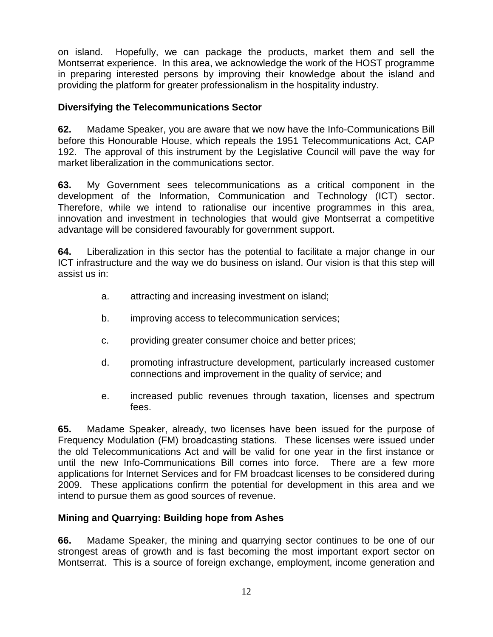on island. Hopefully, we can package the products, market them and sell the Montserrat experience. In this area, we acknowledge the work of the HOST programme in preparing interested persons by improving their knowledge about the island and providing the platform for greater professionalism in the hospitality industry.

### **Diversifying the Telecommunications Sector**

**62.** Madame Speaker, you are aware that we now have the Info-Communications Bill before this Honourable House, which repeals the 1951 Telecommunications Act, CAP 192. The approval of this instrument by the Legislative Council will pave the way for market liberalization in the communications sector.

**63.** My Government sees telecommunications as a critical component in the development of the Information, Communication and Technology (ICT) sector. Therefore, while we intend to rationalise our incentive programmes in this area, innovation and investment in technologies that would give Montserrat a competitive advantage will be considered favourably for government support.

**64.** Liberalization in this sector has the potential to facilitate a major change in our ICT infrastructure and the way we do business on island. Our vision is that this step will assist us in:

- a. attracting and increasing investment on island;
- b. improving access to telecommunication services;
- c. providing greater consumer choice and better prices;
- d. promoting infrastructure development, particularly increased customer connections and improvement in the quality of service; and
- e. increased public revenues through taxation, licenses and spectrum fees.

**65.** Madame Speaker, already, two licenses have been issued for the purpose of Frequency Modulation (FM) broadcasting stations. These licenses were issued under the old Telecommunications Act and will be valid for one year in the first instance or until the new Info-Communications Bill comes into force. There are a few more applications for Internet Services and for FM broadcast licenses to be considered during 2009. These applications confirm the potential for development in this area and we intend to pursue them as good sources of revenue.

#### **Mining and Quarrying: Building hope from Ashes**

**66.** Madame Speaker, the mining and quarrying sector continues to be one of our strongest areas of growth and is fast becoming the most important export sector on Montserrat. This is a source of foreign exchange, employment, income generation and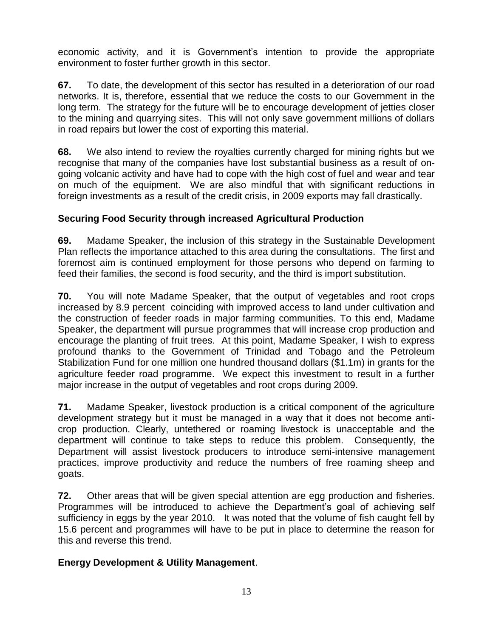economic activity, and it is Government"s intention to provide the appropriate environment to foster further growth in this sector.

**67.** To date, the development of this sector has resulted in a deterioration of our road networks. It is, therefore, essential that we reduce the costs to our Government in the long term. The strategy for the future will be to encourage development of jetties closer to the mining and quarrying sites. This will not only save government millions of dollars in road repairs but lower the cost of exporting this material.

**68.** We also intend to review the royalties currently charged for mining rights but we recognise that many of the companies have lost substantial business as a result of ongoing volcanic activity and have had to cope with the high cost of fuel and wear and tear on much of the equipment. We are also mindful that with significant reductions in foreign investments as a result of the credit crisis, in 2009 exports may fall drastically.

## **Securing Food Security through increased Agricultural Production**

**69.** Madame Speaker, the inclusion of this strategy in the Sustainable Development Plan reflects the importance attached to this area during the consultations. The first and foremost aim is continued employment for those persons who depend on farming to feed their families, the second is food security, and the third is import substitution.

**70.** You will note Madame Speaker, that the output of vegetables and root crops increased by 8.9 percent coinciding with improved access to land under cultivation and the construction of feeder roads in major farming communities. To this end, Madame Speaker, the department will pursue programmes that will increase crop production and encourage the planting of fruit trees. At this point, Madame Speaker, I wish to express profound thanks to the Government of Trinidad and Tobago and the Petroleum Stabilization Fund for one million one hundred thousand dollars (\$1.1m) in grants for the agriculture feeder road programme. We expect this investment to result in a further major increase in the output of vegetables and root crops during 2009.

**71.** Madame Speaker, livestock production is a critical component of the agriculture development strategy but it must be managed in a way that it does not become anticrop production. Clearly, untethered or roaming livestock is unacceptable and the department will continue to take steps to reduce this problem. Consequently, the Department will assist livestock producers to introduce semi-intensive management practices, improve productivity and reduce the numbers of free roaming sheep and goats.

**72.** Other areas that will be given special attention are egg production and fisheries. Programmes will be introduced to achieve the Department's goal of achieving self sufficiency in eggs by the year 2010. It was noted that the volume of fish caught fell by 15.6 percent and programmes will have to be put in place to determine the reason for this and reverse this trend.

## **Energy Development & Utility Management**.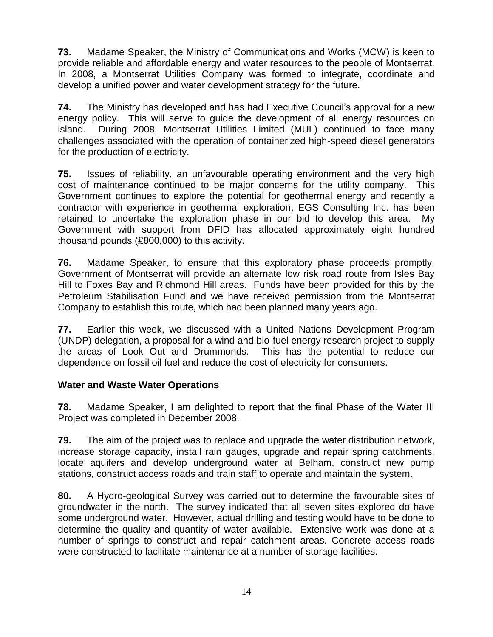**73.** Madame Speaker, the Ministry of Communications and Works (MCW) is keen to provide reliable and affordable energy and water resources to the people of Montserrat. In 2008, a Montserrat Utilities Company was formed to integrate, coordinate and develop a unified power and water development strategy for the future.

**74.** The Ministry has developed and has had Executive Council"s approval for a new energy policy. This will serve to guide the development of all energy resources on island. During 2008, Montserrat Utilities Limited (MUL) continued to face many challenges associated with the operation of containerized high-speed diesel generators for the production of electricity.

**75.** Issues of reliability, an unfavourable operating environment and the very high cost of maintenance continued to be major concerns for the utility company. This Government continues to explore the potential for geothermal energy and recently a contractor with experience in geothermal exploration, EGS Consulting Inc. has been retained to undertake the exploration phase in our bid to develop this area. My Government with support from DFID has allocated approximately eight hundred thousand pounds (₤800,000) to this activity.

**76.** Madame Speaker, to ensure that this exploratory phase proceeds promptly, Government of Montserrat will provide an alternate low risk road route from Isles Bay Hill to Foxes Bay and Richmond Hill areas. Funds have been provided for this by the Petroleum Stabilisation Fund and we have received permission from the Montserrat Company to establish this route, which had been planned many years ago.

**77.** Earlier this week, we discussed with a United Nations Development Program (UNDP) delegation, a proposal for a wind and bio-fuel energy research project to supply the areas of Look Out and Drummonds. This has the potential to reduce our dependence on fossil oil fuel and reduce the cost of electricity for consumers.

## **Water and Waste Water Operations**

**78.** Madame Speaker, I am delighted to report that the final Phase of the Water III Project was completed in December 2008.

**79.** The aim of the project was to replace and upgrade the water distribution network, increase storage capacity, install rain gauges, upgrade and repair spring catchments, locate aquifers and develop underground water at Belham, construct new pump stations, construct access roads and train staff to operate and maintain the system.

**80.** A Hydro-geological Survey was carried out to determine the favourable sites of groundwater in the north. The survey indicated that all seven sites explored do have some underground water. However, actual drilling and testing would have to be done to determine the quality and quantity of water available. Extensive work was done at a number of springs to construct and repair catchment areas. Concrete access roads were constructed to facilitate maintenance at a number of storage facilities.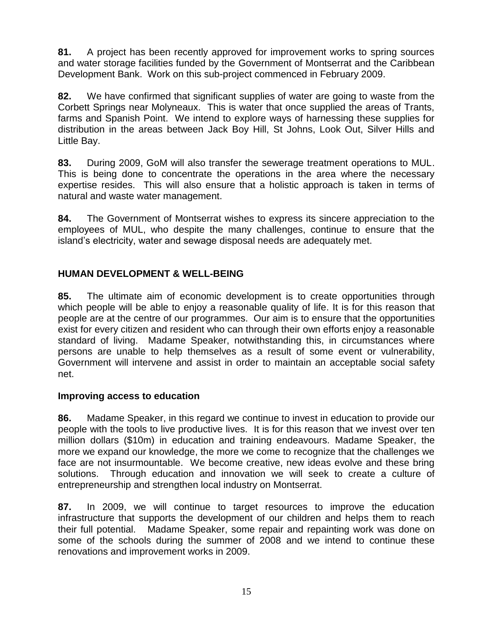**81.** A project has been recently approved for improvement works to spring sources and water storage facilities funded by the Government of Montserrat and the Caribbean Development Bank. Work on this sub-project commenced in February 2009.

**82.** We have confirmed that significant supplies of water are going to waste from the Corbett Springs near Molyneaux. This is water that once supplied the areas of Trants, farms and Spanish Point. We intend to explore ways of harnessing these supplies for distribution in the areas between Jack Boy Hill, St Johns, Look Out, Silver Hills and Little Bay.

**83.** During 2009, GoM will also transfer the sewerage treatment operations to MUL. This is being done to concentrate the operations in the area where the necessary expertise resides. This will also ensure that a holistic approach is taken in terms of natural and waste water management.

**84.** The Government of Montserrat wishes to express its sincere appreciation to the employees of MUL, who despite the many challenges, continue to ensure that the island"s electricity, water and sewage disposal needs are adequately met.

## **HUMAN DEVELOPMENT & WELL-BEING**

**85.** The ultimate aim of economic development is to create opportunities through which people will be able to enjoy a reasonable quality of life. It is for this reason that people are at the centre of our programmes. Our aim is to ensure that the opportunities exist for every citizen and resident who can through their own efforts enjoy a reasonable standard of living. Madame Speaker, notwithstanding this, in circumstances where persons are unable to help themselves as a result of some event or vulnerability, Government will intervene and assist in order to maintain an acceptable social safety net.

## **Improving access to education**

**86.** Madame Speaker, in this regard we continue to invest in education to provide our people with the tools to live productive lives. It is for this reason that we invest over ten million dollars (\$10m) in education and training endeavours. Madame Speaker, the more we expand our knowledge, the more we come to recognize that the challenges we face are not insurmountable. We become creative, new ideas evolve and these bring solutions. Through education and innovation we will seek to create a culture of entrepreneurship and strengthen local industry on Montserrat.

**87.** In 2009, we will continue to target resources to improve the education infrastructure that supports the development of our children and helps them to reach their full potential. Madame Speaker, some repair and repainting work was done on some of the schools during the summer of 2008 and we intend to continue these renovations and improvement works in 2009.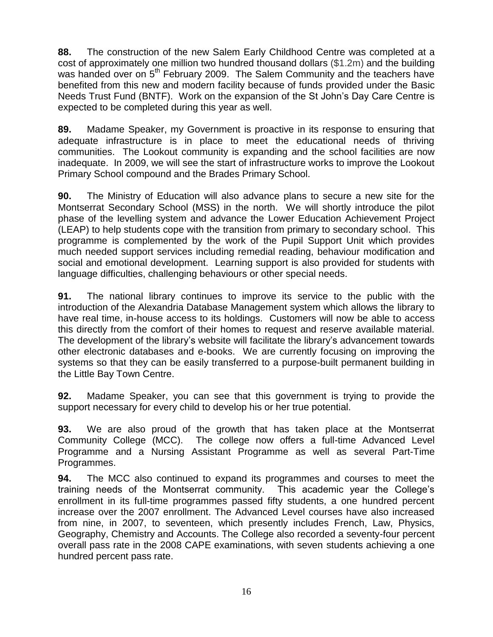**88.** The construction of the new Salem Early Childhood Centre was completed at a cost of approximately one million two hundred thousand dollars (\$1.2m) and the building was handed over on 5<sup>th</sup> February 2009. The Salem Community and the teachers have benefited from this new and modern facility because of funds provided under the Basic Needs Trust Fund (BNTF). Work on the expansion of the St John"s Day Care Centre is expected to be completed during this year as well.

**89.** Madame Speaker, my Government is proactive in its response to ensuring that adequate infrastructure is in place to meet the educational needs of thriving communities. The Lookout community is expanding and the school facilities are now inadequate. In 2009, we will see the start of infrastructure works to improve the Lookout Primary School compound and the Brades Primary School.

**90.** The Ministry of Education will also advance plans to secure a new site for the Montserrat Secondary School (MSS) in the north. We will shortly introduce the pilot phase of the levelling system and advance the Lower Education Achievement Project (LEAP) to help students cope with the transition from primary to secondary school. This programme is complemented by the work of the Pupil Support Unit which provides much needed support services including remedial reading, behaviour modification and social and emotional development. Learning support is also provided for students with language difficulties, challenging behaviours or other special needs.

**91.** The national library continues to improve its service to the public with the introduction of the Alexandria Database Management system which allows the library to have real time, in-house access to its holdings. Customers will now be able to access this directly from the comfort of their homes to request and reserve available material. The development of the library's website will facilitate the library's advancement towards other electronic databases and e-books. We are currently focusing on improving the systems so that they can be easily transferred to a purpose-built permanent building in the Little Bay Town Centre.

**92.** Madame Speaker, you can see that this government is trying to provide the support necessary for every child to develop his or her true potential.

**93.** We are also proud of the growth that has taken place at the Montserrat Community College (MCC). The college now offers a full-time Advanced Level Programme and a Nursing Assistant Programme as well as several Part-Time Programmes.

**94.** The MCC also continued to expand its programmes and courses to meet the training needs of the Montserrat community. This academic year the College"s enrollment in its full-time programmes passed fifty students, a one hundred percent increase over the 2007 enrollment. The Advanced Level courses have also increased from nine, in 2007, to seventeen, which presently includes French, Law, Physics, Geography, Chemistry and Accounts. The College also recorded a seventy-four percent overall pass rate in the 2008 CAPE examinations, with seven students achieving a one hundred percent pass rate.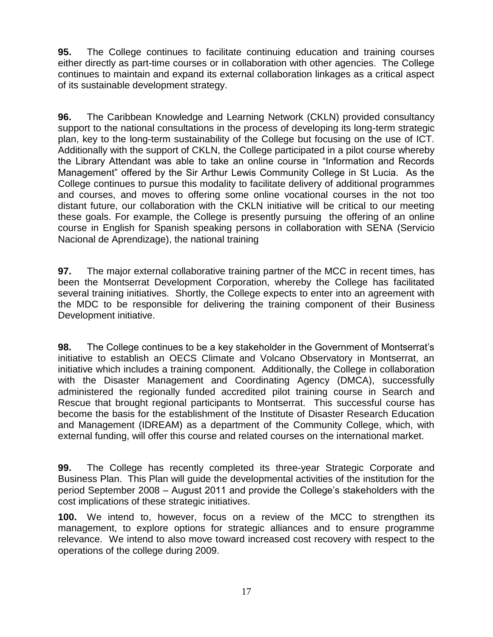**95.** The College continues to facilitate continuing education and training courses either directly as part-time courses or in collaboration with other agencies. The College continues to maintain and expand its external collaboration linkages as a critical aspect of its sustainable development strategy.

**96.** The Caribbean Knowledge and Learning Network (CKLN) provided consultancy support to the national consultations in the process of developing its long-term strategic plan, key to the long-term sustainability of the College but focusing on the use of ICT. Additionally with the support of CKLN, the College participated in a pilot course whereby the Library Attendant was able to take an online course in "Information and Records Management" offered by the Sir Arthur Lewis Community College in St Lucia. As the College continues to pursue this modality to facilitate delivery of additional programmes and courses, and moves to offering some online vocational courses in the not too distant future, our collaboration with the CKLN initiative will be critical to our meeting these goals. For example, the College is presently pursuing the offering of an online course in English for Spanish speaking persons in collaboration with SENA (Servicio Nacional de Aprendizage), the national training

**97.** The major external collaborative training partner of the MCC in recent times, has been the Montserrat Development Corporation, whereby the College has facilitated several training initiatives. Shortly, the College expects to enter into an agreement with the MDC to be responsible for delivering the training component of their Business Development initiative.

**98.** The College continues to be a key stakeholder in the Government of Montserrat"s initiative to establish an OECS Climate and Volcano Observatory in Montserrat, an initiative which includes a training component. Additionally, the College in collaboration with the Disaster Management and Coordinating Agency (DMCA), successfully administered the regionally funded accredited pilot training course in Search and Rescue that brought regional participants to Montserrat. This successful course has become the basis for the establishment of the Institute of Disaster Research Education and Management (IDREAM) as a department of the Community College, which, with external funding, will offer this course and related courses on the international market.

**99.** The College has recently completed its three-year Strategic Corporate and Business Plan. This Plan will guide the developmental activities of the institution for the period September 2008 – August 2011 and provide the College"s stakeholders with the cost implications of these strategic initiatives.

**100.** We intend to, however, focus on a review of the MCC to strengthen its management, to explore options for strategic alliances and to ensure programme relevance. We intend to also move toward increased cost recovery with respect to the operations of the college during 2009.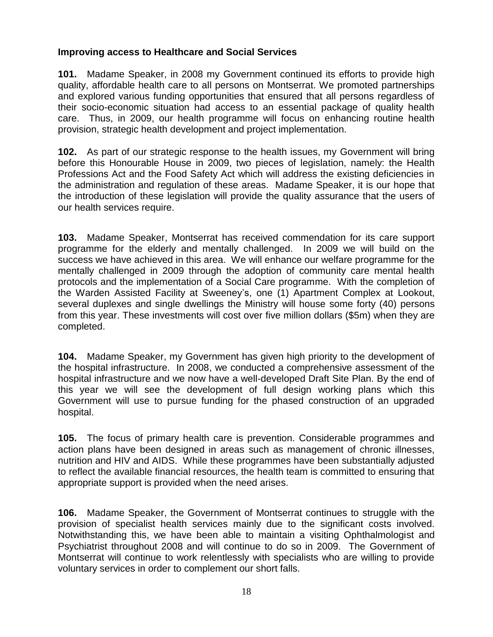#### **Improving access to Healthcare and Social Services**

**101.** Madame Speaker, in 2008 my Government continued its efforts to provide high quality, affordable health care to all persons on Montserrat. We promoted partnerships and explored various funding opportunities that ensured that all persons regardless of their socio-economic situation had access to an essential package of quality health care. Thus, in 2009, our health programme will focus on enhancing routine health provision, strategic health development and project implementation.

**102.** As part of our strategic response to the health issues, my Government will bring before this Honourable House in 2009, two pieces of legislation, namely: the Health Professions Act and the Food Safety Act which will address the existing deficiencies in the administration and regulation of these areas. Madame Speaker, it is our hope that the introduction of these legislation will provide the quality assurance that the users of our health services require.

**103.** Madame Speaker, Montserrat has received commendation for its care support programme for the elderly and mentally challenged. In 2009 we will build on the success we have achieved in this area. We will enhance our welfare programme for the mentally challenged in 2009 through the adoption of community care mental health protocols and the implementation of a Social Care programme. With the completion of the Warden Assisted Facility at Sweeney"s, one (1) Apartment Complex at Lookout, several duplexes and single dwellings the Ministry will house some forty (40) persons from this year. These investments will cost over five million dollars (\$5m) when they are completed.

**104.** Madame Speaker, my Government has given high priority to the development of the hospital infrastructure. In 2008, we conducted a comprehensive assessment of the hospital infrastructure and we now have a well-developed Draft Site Plan. By the end of this year we will see the development of full design working plans which this Government will use to pursue funding for the phased construction of an upgraded hospital.

**105.** The focus of primary health care is prevention. Considerable programmes and action plans have been designed in areas such as management of chronic illnesses, nutrition and HIV and AIDS. While these programmes have been substantially adjusted to reflect the available financial resources, the health team is committed to ensuring that appropriate support is provided when the need arises.

**106.** Madame Speaker, the Government of Montserrat continues to struggle with the provision of specialist health services mainly due to the significant costs involved. Notwithstanding this, we have been able to maintain a visiting Ophthalmologist and Psychiatrist throughout 2008 and will continue to do so in 2009. The Government of Montserrat will continue to work relentlessly with specialists who are willing to provide voluntary services in order to complement our short falls.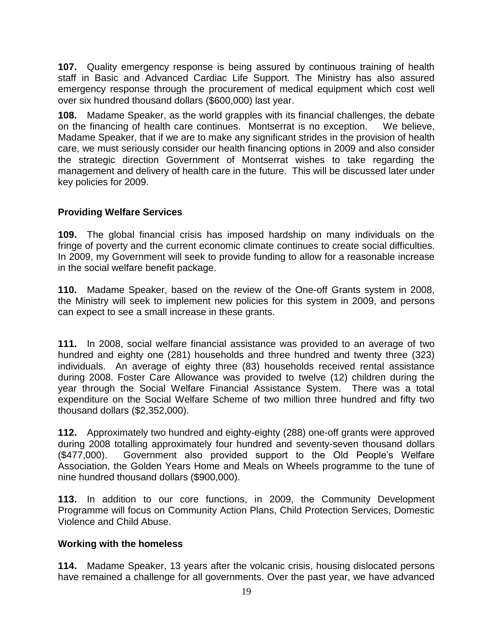**107.** Quality emergency response is being assured by continuous training of health staff in Basic and Advanced Cardiac Life Support. The Ministry has also assured emergency response through the procurement of medical equipment which cost well over six hundred thousand dollars (\$600,000) last year.

**108.** Madame Speaker, as the world grapples with its financial challenges, the debate on the financing of health care continues. Montserrat is no exception.We believe, Madame Speaker, that if we are to make any significant strides in the provision of health care, we must seriously consider our health financing options in 2009 and also consider the strategic direction Government of Montserrat wishes to take regarding the management and delivery of health care in the future. This will be discussed later under key policies for 2009.

### **Providing Welfare Services**

**109.** The global financial crisis has imposed hardship on many individuals on the fringe of poverty and the current economic climate continues to create social difficulties. In 2009, my Government will seek to provide funding to allow for a reasonable increase in the social welfare benefit package.

**110.** Madame Speaker, based on the review of the One-off Grants system in 2008, the Ministry will seek to implement new policies for this system in 2009, and persons can expect to see a small increase in these grants.

**111.** In 2008, social welfare financial assistance was provided to an average of two hundred and eighty one (281) households and three hundred and twenty three (323) individuals. An average of eighty three (83) households received rental assistance during 2008. Foster Care Allowance was provided to twelve (12) children during the year through the Social Welfare Financial Assistance System. There was a total expenditure on the Social Welfare Scheme of two million three hundred and fifty two thousand dollars (\$2,352,000).

**112.** Approximately two hundred and eighty-eighty (288) one-off grants were approved during 2008 totalling approximately four hundred and seventy-seven thousand dollars (\$477,000). Government also provided support to the Old People"s Welfare Association, the Golden Years Home and Meals on Wheels programme to the tune of nine hundred thousand dollars (\$900,000).

**113.** In addition to our core functions, in 2009, the Community Development Programme will focus on Community Action Plans, Child Protection Services, Domestic Violence and Child Abuse.

#### **Working with the homeless**

**114.** Madame Speaker, 13 years after the volcanic crisis, housing dislocated persons have remained a challenge for all governments. Over the past year, we have advanced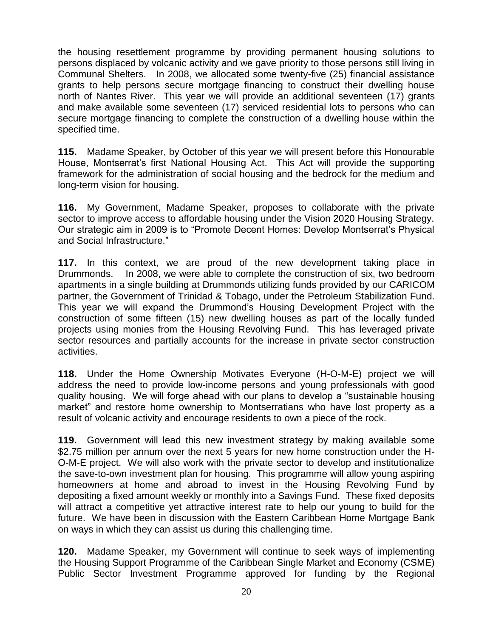the housing resettlement programme by providing permanent housing solutions to persons displaced by volcanic activity and we gave priority to those persons still living in Communal Shelters. In 2008, we allocated some twenty-five (25) financial assistance grants to help persons secure mortgage financing to construct their dwelling house north of Nantes River. This year we will provide an additional seventeen (17) grants and make available some seventeen (17) serviced residential lots to persons who can secure mortgage financing to complete the construction of a dwelling house within the specified time.

**115.** Madame Speaker, by October of this year we will present before this Honourable House, Montserrat's first National Housing Act. This Act will provide the supporting framework for the administration of social housing and the bedrock for the medium and long-term vision for housing.

**116.** My Government, Madame Speaker, proposes to collaborate with the private sector to improve access to affordable housing under the Vision 2020 Housing Strategy. Our strategic aim in 2009 is to "Promote Decent Homes: Develop Montserrat's Physical and Social Infrastructure."

**117.** In this context, we are proud of the new development taking place in Drummonds. In 2008, we were able to complete the construction of six, two bedroom apartments in a single building at Drummonds utilizing funds provided by our CARICOM partner, the Government of Trinidad & Tobago, under the Petroleum Stabilization Fund. This year we will expand the Drummond"s Housing Development Project with the construction of some fifteen (15) new dwelling houses as part of the locally funded projects using monies from the Housing Revolving Fund. This has leveraged private sector resources and partially accounts for the increase in private sector construction activities.

**118.** Under the Home Ownership Motivates Everyone (H-O-M-E) project we will address the need to provide low-income persons and young professionals with good quality housing. We will forge ahead with our plans to develop a "sustainable housing market" and restore home ownership to Montserratians who have lost property as a result of volcanic activity and encourage residents to own a piece of the rock.

**119.** Government will lead this new investment strategy by making available some \$2.75 million per annum over the next 5 years for new home construction under the H-O-M-E project. We will also work with the private sector to develop and institutionalize the save-to-own investment plan for housing. This programme will allow young aspiring homeowners at home and abroad to invest in the Housing Revolving Fund by depositing a fixed amount weekly or monthly into a Savings Fund. These fixed deposits will attract a competitive yet attractive interest rate to help our young to build for the future. We have been in discussion with the Eastern Caribbean Home Mortgage Bank on ways in which they can assist us during this challenging time.

**120.** Madame Speaker, my Government will continue to seek ways of implementing the Housing Support Programme of the Caribbean Single Market and Economy (CSME) Public Sector Investment Programme approved for funding by the Regional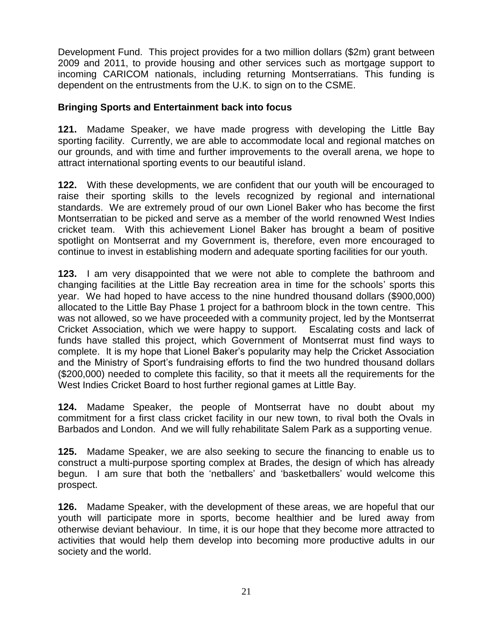Development Fund. This project provides for a two million dollars (\$2m) grant between 2009 and 2011, to provide housing and other services such as mortgage support to incoming CARICOM nationals, including returning Montserratians. This funding is dependent on the entrustments from the U.K. to sign on to the CSME.

#### **Bringing Sports and Entertainment back into focus**

**121.** Madame Speaker, we have made progress with developing the Little Bay sporting facility. Currently, we are able to accommodate local and regional matches on our grounds, and with time and further improvements to the overall arena, we hope to attract international sporting events to our beautiful island.

**122.** With these developments, we are confident that our youth will be encouraged to raise their sporting skills to the levels recognized by regional and international standards. We are extremely proud of our own Lionel Baker who has become the first Montserratian to be picked and serve as a member of the world renowned West Indies cricket team. With this achievement Lionel Baker has brought a beam of positive spotlight on Montserrat and my Government is, therefore, even more encouraged to continue to invest in establishing modern and adequate sporting facilities for our youth.

**123.** I am very disappointed that we were not able to complete the bathroom and changing facilities at the Little Bay recreation area in time for the schools" sports this year. We had hoped to have access to the nine hundred thousand dollars (\$900,000) allocated to the Little Bay Phase 1 project for a bathroom block in the town centre. This was not allowed, so we have proceeded with a community project, led by the Montserrat Cricket Association, which we were happy to support. Escalating costs and lack of funds have stalled this project, which Government of Montserrat must find ways to complete. It is my hope that Lionel Baker"s popularity may help the Cricket Association and the Ministry of Sport's fundraising efforts to find the two hundred thousand dollars (\$200,000) needed to complete this facility, so that it meets all the requirements for the West Indies Cricket Board to host further regional games at Little Bay.

**124.** Madame Speaker, the people of Montserrat have no doubt about my commitment for a first class cricket facility in our new town, to rival both the Ovals in Barbados and London. And we will fully rehabilitate Salem Park as a supporting venue.

**125.** Madame Speaker, we are also seeking to secure the financing to enable us to construct a multi-purpose sporting complex at Brades, the design of which has already begun. I am sure that both the "netballers" and "basketballers" would welcome this prospect.

**126.** Madame Speaker, with the development of these areas, we are hopeful that our youth will participate more in sports, become healthier and be lured away from otherwise deviant behaviour. In time, it is our hope that they become more attracted to activities that would help them develop into becoming more productive adults in our society and the world.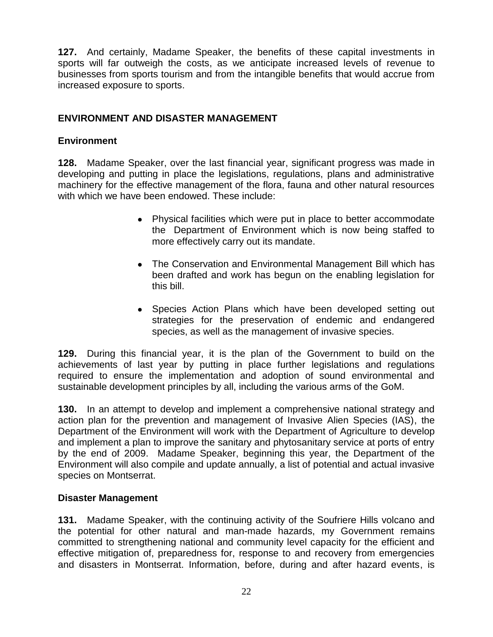**127.** And certainly, Madame Speaker, the benefits of these capital investments in sports will far outweigh the costs, as we anticipate increased levels of revenue to businesses from sports tourism and from the intangible benefits that would accrue from increased exposure to sports.

## **ENVIRONMENT AND DISASTER MANAGEMENT**

## **Environment**

**128.** Madame Speaker, over the last financial year, significant progress was made in developing and putting in place the legislations, regulations, plans and administrative machinery for the effective management of the flora, fauna and other natural resources with which we have been endowed. These include:

- Physical facilities which were put in place to better accommodate the Department of Environment which is now being staffed to more effectively carry out its mandate.
- The Conservation and Environmental Management Bill which has been drafted and work has begun on the enabling legislation for this bill.
- Species Action Plans which have been developed setting out strategies for the preservation of endemic and endangered species, as well as the management of invasive species.

**129.** During this financial year, it is the plan of the Government to build on the achievements of last year by putting in place further legislations and regulations required to ensure the implementation and adoption of sound environmental and sustainable development principles by all, including the various arms of the GoM.

**130.** In an attempt to develop and implement a comprehensive national strategy and action plan for the prevention and management of Invasive Alien Species (IAS), the Department of the Environment will work with the Department of Agriculture to develop and implement a plan to improve the sanitary and phytosanitary service at ports of entry by the end of 2009. Madame Speaker, beginning this year, the Department of the Environment will also compile and update annually, a list of potential and actual invasive species on Montserrat.

## **Disaster Management**

**131.** Madame Speaker, with the continuing activity of the Soufriere Hills volcano and the potential for other natural and man-made hazards, my Government remains committed to strengthening national and community level capacity for the efficient and effective mitigation of, preparedness for, response to and recovery from emergencies and disasters in Montserrat. Information, before, during and after hazard events, is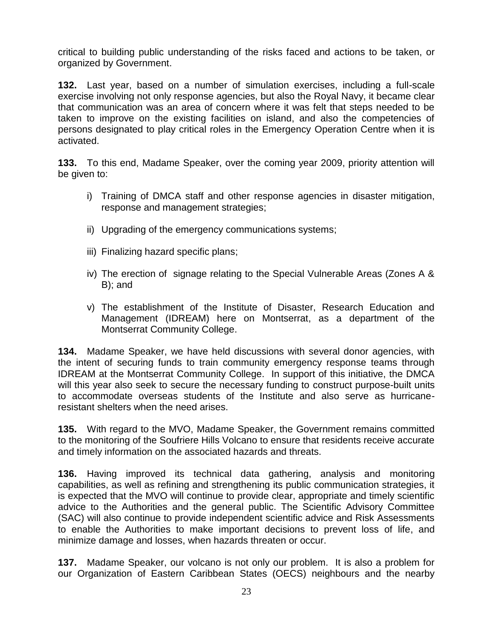critical to building public understanding of the risks faced and actions to be taken, or organized by Government.

**132.** Last year, based on a number of simulation exercises, including a full-scale exercise involving not only response agencies, but also the Royal Navy, it became clear that communication was an area of concern where it was felt that steps needed to be taken to improve on the existing facilities on island, and also the competencies of persons designated to play critical roles in the Emergency Operation Centre when it is activated.

**133.** To this end, Madame Speaker, over the coming year 2009, priority attention will be given to:

- i) Training of DMCA staff and other response agencies in disaster mitigation, response and management strategies;
- ii) Upgrading of the emergency communications systems;
- iii) Finalizing hazard specific plans;
- iv) The erection of signage relating to the Special Vulnerable Areas (Zones A & B); and
- v) The establishment of the Institute of Disaster, Research Education and Management (IDREAM) here on Montserrat, as a department of the Montserrat Community College.

**134.** Madame Speaker, we have held discussions with several donor agencies, with the intent of securing funds to train community emergency response teams through IDREAM at the Montserrat Community College. In support of this initiative, the DMCA will this year also seek to secure the necessary funding to construct purpose-built units to accommodate overseas students of the Institute and also serve as hurricaneresistant shelters when the need arises.

**135.** With regard to the MVO, Madame Speaker, the Government remains committed to the monitoring of the Soufriere Hills Volcano to ensure that residents receive accurate and timely information on the associated hazards and threats.

**136.** Having improved its technical data gathering, analysis and monitoring capabilities, as well as refining and strengthening its public communication strategies, it is expected that the MVO will continue to provide clear, appropriate and timely scientific advice to the Authorities and the general public. The Scientific Advisory Committee (SAC) will also continue to provide independent scientific advice and Risk Assessments to enable the Authorities to make important decisions to prevent loss of life, and minimize damage and losses, when hazards threaten or occur.

**137.** Madame Speaker, our volcano is not only our problem. It is also a problem for our Organization of Eastern Caribbean States (OECS) neighbours and the nearby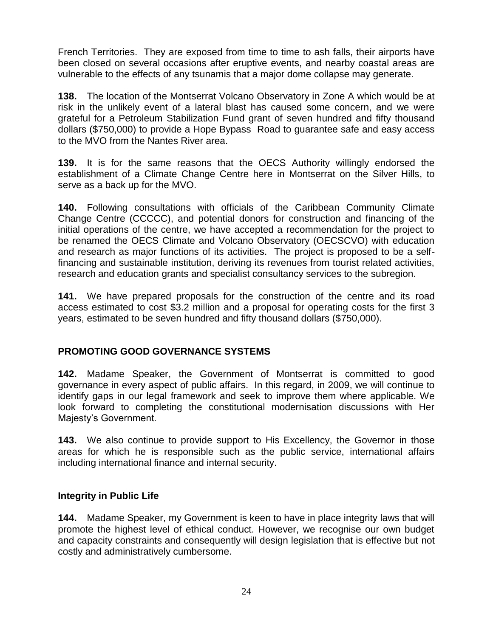French Territories. They are exposed from time to time to ash falls, their airports have been closed on several occasions after eruptive events, and nearby coastal areas are vulnerable to the effects of any tsunamis that a major dome collapse may generate.

**138.** The location of the Montserrat Volcano Observatory in Zone A which would be at risk in the unlikely event of a lateral blast has caused some concern, and we were grateful for a Petroleum Stabilization Fund grant of seven hundred and fifty thousand dollars (\$750,000) to provide a Hope Bypass Road to guarantee safe and easy access to the MVO from the Nantes River area.

**139.** It is for the same reasons that the OECS Authority willingly endorsed the establishment of a Climate Change Centre here in Montserrat on the Silver Hills, to serve as a back up for the MVO.

**140.** Following consultations with officials of the Caribbean Community Climate Change Centre (CCCCC), and potential donors for construction and financing of the initial operations of the centre, we have accepted a recommendation for the project to be renamed the OECS Climate and Volcano Observatory (OECSCVO) with education and research as major functions of its activities. The project is proposed to be a selffinancing and sustainable institution, deriving its revenues from tourist related activities, research and education grants and specialist consultancy services to the subregion.

**141.** We have prepared proposals for the construction of the centre and its road access estimated to cost \$3.2 million and a proposal for operating costs for the first 3 years, estimated to be seven hundred and fifty thousand dollars (\$750,000).

## **PROMOTING GOOD GOVERNANCE SYSTEMS**

**142.** Madame Speaker, the Government of Montserrat is committed to good governance in every aspect of public affairs. In this regard, in 2009, we will continue to identify gaps in our legal framework and seek to improve them where applicable. We look forward to completing the constitutional modernisation discussions with Her Majesty"s Government.

**143.** We also continue to provide support to His Excellency, the Governor in those areas for which he is responsible such as the public service, international affairs including international finance and internal security.

## **Integrity in Public Life**

**144.** Madame Speaker, my Government is keen to have in place integrity laws that will promote the highest level of ethical conduct. However, we recognise our own budget and capacity constraints and consequently will design legislation that is effective but not costly and administratively cumbersome.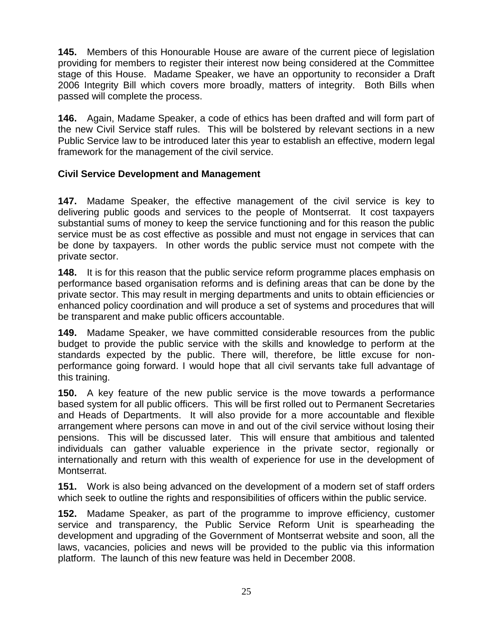**145.** Members of this Honourable House are aware of the current piece of legislation providing for members to register their interest now being considered at the Committee stage of this House. Madame Speaker, we have an opportunity to reconsider a Draft 2006 Integrity Bill which covers more broadly, matters of integrity. Both Bills when passed will complete the process.

**146.** Again, Madame Speaker, a code of ethics has been drafted and will form part of the new Civil Service staff rules. This will be bolstered by relevant sections in a new Public Service law to be introduced later this year to establish an effective, modern legal framework for the management of the civil service.

### **Civil Service Development and Management**

**147.** Madame Speaker, the effective management of the civil service is key to delivering public goods and services to the people of Montserrat. It cost taxpayers substantial sums of money to keep the service functioning and for this reason the public service must be as cost effective as possible and must not engage in services that can be done by taxpayers. In other words the public service must not compete with the private sector.

**148.** It is for this reason that the public service reform programme places emphasis on performance based organisation reforms and is defining areas that can be done by the private sector. This may result in merging departments and units to obtain efficiencies or enhanced policy coordination and will produce a set of systems and procedures that will be transparent and make public officers accountable.

**149.** Madame Speaker, we have committed considerable resources from the public budget to provide the public service with the skills and knowledge to perform at the standards expected by the public. There will, therefore, be little excuse for nonperformance going forward. I would hope that all civil servants take full advantage of this training.

**150.** A key feature of the new public service is the move towards a performance based system for all public officers. This will be first rolled out to Permanent Secretaries and Heads of Departments. It will also provide for a more accountable and flexible arrangement where persons can move in and out of the civil service without losing their pensions. This will be discussed later. This will ensure that ambitious and talented individuals can gather valuable experience in the private sector, regionally or internationally and return with this wealth of experience for use in the development of Montserrat.

**151.** Work is also being advanced on the development of a modern set of staff orders which seek to outline the rights and responsibilities of officers within the public service.

**152.** Madame Speaker, as part of the programme to improve efficiency, customer service and transparency, the Public Service Reform Unit is spearheading the development and upgrading of the Government of Montserrat website and soon, all the laws, vacancies, policies and news will be provided to the public via this information platform. The launch of this new feature was held in December 2008.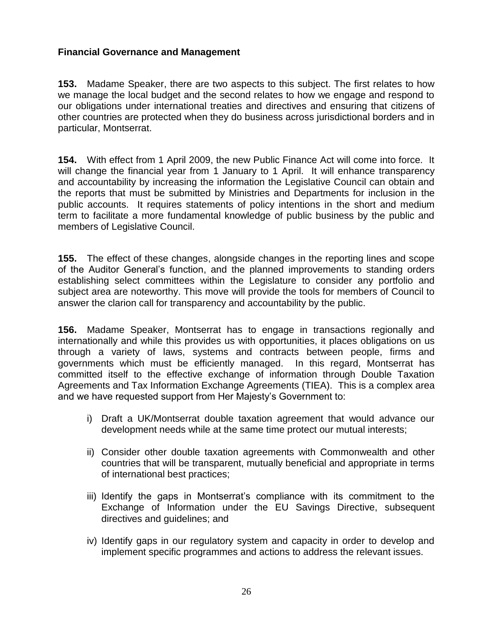### **Financial Governance and Management**

**153.** Madame Speaker, there are two aspects to this subject. The first relates to how we manage the local budget and the second relates to how we engage and respond to our obligations under international treaties and directives and ensuring that citizens of other countries are protected when they do business across jurisdictional borders and in particular, Montserrat.

**154.** With effect from 1 April 2009, the new Public Finance Act will come into force. It will change the financial year from 1 January to 1 April. It will enhance transparency and accountability by increasing the information the Legislative Council can obtain and the reports that must be submitted by Ministries and Departments for inclusion in the public accounts. It requires statements of policy intentions in the short and medium term to facilitate a more fundamental knowledge of public business by the public and members of Legislative Council.

**155.** The effect of these changes, alongside changes in the reporting lines and scope of the Auditor General"s function, and the planned improvements to standing orders establishing select committees within the Legislature to consider any portfolio and subject area are noteworthy. This move will provide the tools for members of Council to answer the clarion call for transparency and accountability by the public.

**156.** Madame Speaker, Montserrat has to engage in transactions regionally and internationally and while this provides us with opportunities, it places obligations on us through a variety of laws, systems and contracts between people, firms and governments which must be efficiently managed. In this regard, Montserrat has committed itself to the effective exchange of information through Double Taxation Agreements and Tax Information Exchange Agreements (TIEA). This is a complex area and we have requested support from Her Majesty's Government to:

- i) Draft a UK/Montserrat double taxation agreement that would advance our development needs while at the same time protect our mutual interests;
- ii) Consider other double taxation agreements with Commonwealth and other countries that will be transparent, mutually beneficial and appropriate in terms of international best practices;
- iii) Identify the gaps in Montserrat"s compliance with its commitment to the Exchange of Information under the EU Savings Directive, subsequent directives and guidelines; and
- iv) Identify gaps in our regulatory system and capacity in order to develop and implement specific programmes and actions to address the relevant issues.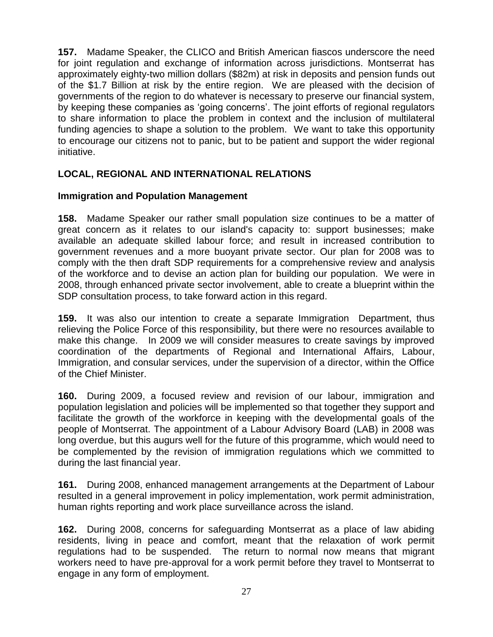**157.** Madame Speaker, the CLICO and British American fiascos underscore the need for joint regulation and exchange of information across jurisdictions. Montserrat has approximately eighty-two million dollars (\$82m) at risk in deposits and pension funds out of the \$1.7 Billion at risk by the entire region. We are pleased with the decision of governments of the region to do whatever is necessary to preserve our financial system, by keeping these companies as "going concerns". The joint efforts of regional regulators to share information to place the problem in context and the inclusion of multilateral funding agencies to shape a solution to the problem. We want to take this opportunity to encourage our citizens not to panic, but to be patient and support the wider regional initiative.

## **LOCAL, REGIONAL AND INTERNATIONAL RELATIONS**

## **Immigration and Population Management**

**158.** Madame Speaker our rather small population size continues to be a matter of great concern as it relates to our island's capacity to: support businesses; make available an adequate skilled labour force; and result in increased contribution to government revenues and a more buoyant private sector. Our plan for 2008 was to comply with the then draft SDP requirements for a comprehensive review and analysis of the workforce and to devise an action plan for building our population. We were in 2008, through enhanced private sector involvement, able to create a blueprint within the SDP consultation process, to take forward action in this regard.

**159.** It was also our intention to create a separate Immigration Department, thus relieving the Police Force of this responsibility, but there were no resources available to make this change. In 2009 we will consider measures to create savings by improved coordination of the departments of Regional and International Affairs, Labour, Immigration, and consular services, under the supervision of a director, within the Office of the Chief Minister.

**160.** During 2009, a focused review and revision of our labour, immigration and population legislation and policies will be implemented so that together they support and facilitate the growth of the workforce in keeping with the developmental goals of the people of Montserrat. The appointment of a Labour Advisory Board (LAB) in 2008 was long overdue, but this augurs well for the future of this programme, which would need to be complemented by the revision of immigration regulations which we committed to during the last financial year.

**161.** During 2008, enhanced management arrangements at the Department of Labour resulted in a general improvement in policy implementation, work permit administration, human rights reporting and work place surveillance across the island.

**162.** During 2008, concerns for safeguarding Montserrat as a place of law abiding residents, living in peace and comfort, meant that the relaxation of work permit regulations had to be suspended. The return to normal now means that migrant workers need to have pre-approval for a work permit before they travel to Montserrat to engage in any form of employment.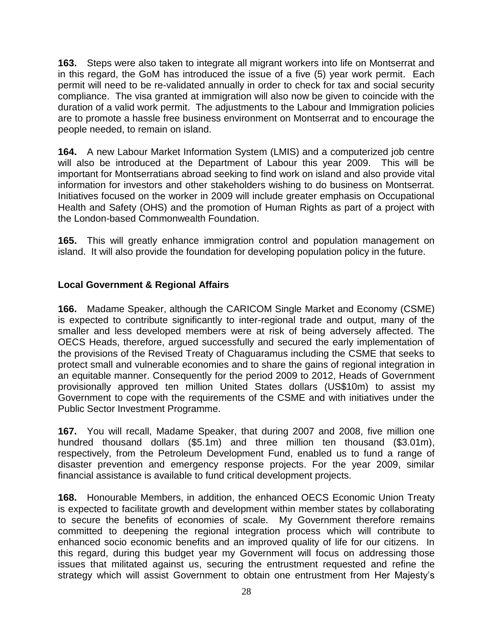**163.** Steps were also taken to integrate all migrant workers into life on Montserrat and in this regard, the GoM has introduced the issue of a five (5) year work permit. Each permit will need to be re-validated annually in order to check for tax and social security compliance. The visa granted at immigration will also now be given to coincide with the duration of a valid work permit. The adjustments to the Labour and Immigration policies are to promote a hassle free business environment on Montserrat and to encourage the people needed, to remain on island.

**164.** A new Labour Market Information System (LMIS) and a computerized job centre will also be introduced at the Department of Labour this year 2009. This will be important for Montserratians abroad seeking to find work on island and also provide vital information for investors and other stakeholders wishing to do business on Montserrat. Initiatives focused on the worker in 2009 will include greater emphasis on Occupational Health and Safety (OHS) and the promotion of Human Rights as part of a project with the London-based Commonwealth Foundation.

**165.** This will greatly enhance immigration control and population management on island. It will also provide the foundation for developing population policy in the future.

## **Local Government & Regional Affairs**

**166.** Madame Speaker, although the CARICOM Single Market and Economy (CSME) is expected to contribute significantly to inter-regional trade and output, many of the smaller and less developed members were at risk of being adversely affected. The OECS Heads, therefore, argued successfully and secured the early implementation of the provisions of the Revised Treaty of Chaguaramus including the CSME that seeks to protect small and vulnerable economies and to share the gains of regional integration in an equitable manner. Consequently for the period 2009 to 2012, Heads of Government provisionally approved ten million United States dollars (US\$10m) to assist my Government to cope with the requirements of the CSME and with initiatives under the Public Sector Investment Programme.

**167.** You will recall, Madame Speaker, that during 2007 and 2008, five million one hundred thousand dollars (\$5.1m) and three million ten thousand (\$3.01m), respectively, from the Petroleum Development Fund, enabled us to fund a range of disaster prevention and emergency response projects. For the year 2009, similar financial assistance is available to fund critical development projects.

**168.** Honourable Members, in addition, the enhanced OECS Economic Union Treaty is expected to facilitate growth and development within member states by collaborating to secure the benefits of economies of scale. My Government therefore remains committed to deepening the regional integration process which will contribute to enhanced socio economic benefits and an improved quality of life for our citizens. In this regard, during this budget year my Government will focus on addressing those issues that militated against us, securing the entrustment requested and refine the strategy which will assist Government to obtain one entrustment from Her Majesty"s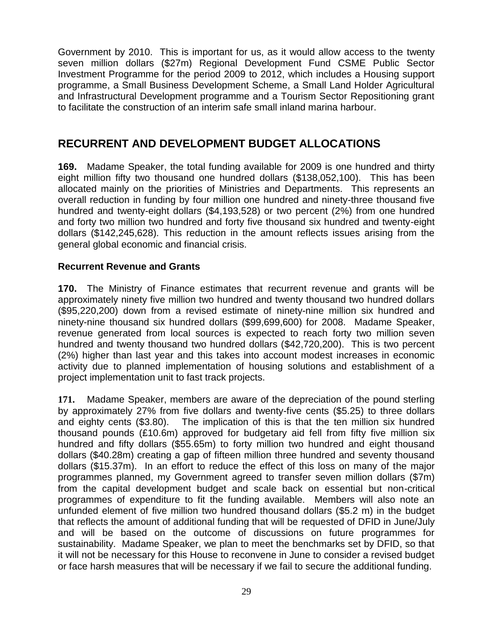Government by 2010. This is important for us, as it would allow access to the twenty seven million dollars (\$27m) Regional Development Fund CSME Public Sector Investment Programme for the period 2009 to 2012, which includes a Housing support programme, a Small Business Development Scheme, a Small Land Holder Agricultural and Infrastructural Development programme and a Tourism Sector Repositioning grant to facilitate the construction of an interim safe small inland marina harbour.

## **RECURRENT AND DEVELOPMENT BUDGET ALLOCATIONS**

**169.** Madame Speaker, the total funding available for 2009 is one hundred and thirty eight million fifty two thousand one hundred dollars (\$138,052,100). This has been allocated mainly on the priorities of Ministries and Departments. This represents an overall reduction in funding by four million one hundred and ninety-three thousand five hundred and twenty-eight dollars (\$4,193,528) or two percent (2%) from one hundred and forty two million two hundred and forty five thousand six hundred and twenty-eight dollars (\$142,245,628). This reduction in the amount reflects issues arising from the general global economic and financial crisis.

#### **Recurrent Revenue and Grants**

**170.** The Ministry of Finance estimates that recurrent revenue and grants will be approximately ninety five million two hundred and twenty thousand two hundred dollars (\$95,220,200) down from a revised estimate of ninety-nine million six hundred and ninety-nine thousand six hundred dollars (\$99,699,600) for 2008. Madame Speaker, revenue generated from local sources is expected to reach forty two million seven hundred and twenty thousand two hundred dollars (\$42,720,200). This is two percent (2%) higher than last year and this takes into account modest increases in economic activity due to planned implementation of housing solutions and establishment of a project implementation unit to fast track projects.

**171.** Madame Speaker, members are aware of the depreciation of the pound sterling by approximately 27% from five dollars and twenty-five cents (\$5.25) to three dollars and eighty cents (\$3.80). The implication of this is that the ten million six hundred thousand pounds (£10.6m) approved for budgetary aid fell from fifty five million six hundred and fifty dollars (\$55.65m) to forty million two hundred and eight thousand dollars (\$40.28m) creating a gap of fifteen million three hundred and seventy thousand dollars (\$15.37m). In an effort to reduce the effect of this loss on many of the major programmes planned, my Government agreed to transfer seven million dollars (\$7m) from the capital development budget and scale back on essential but non-critical programmes of expenditure to fit the funding available. Members will also note an unfunded element of five million two hundred thousand dollars (\$5.2 m) in the budget that reflects the amount of additional funding that will be requested of DFID in June/July and will be based on the outcome of discussions on future programmes for sustainability. Madame Speaker, we plan to meet the benchmarks set by DFID, so that it will not be necessary for this House to reconvene in June to consider a revised budget or face harsh measures that will be necessary if we fail to secure the additional funding.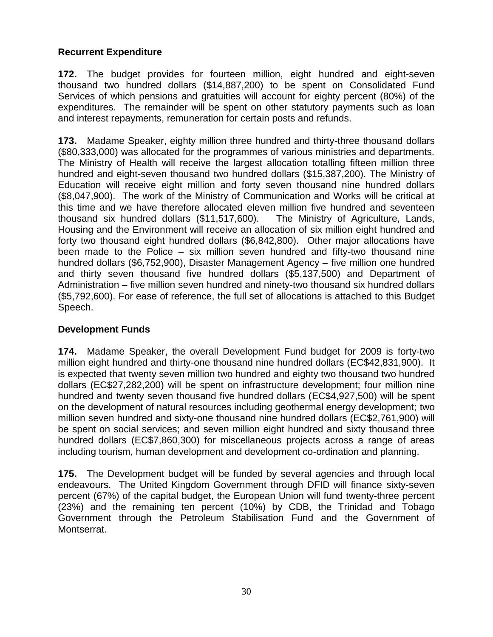## **Recurrent Expenditure**

**172.** The budget provides for fourteen million, eight hundred and eight-seven thousand two hundred dollars (\$14,887,200) to be spent on Consolidated Fund Services of which pensions and gratuities will account for eighty percent (80%) of the expenditures. The remainder will be spent on other statutory payments such as loan and interest repayments, remuneration for certain posts and refunds.

**173.** Madame Speaker, eighty million three hundred and thirty-three thousand dollars (\$80,333,000) was allocated for the programmes of various ministries and departments. The Ministry of Health will receive the largest allocation totalling fifteen million three hundred and eight-seven thousand two hundred dollars (\$15,387,200). The Ministry of Education will receive eight million and forty seven thousand nine hundred dollars (\$8,047,900). The work of the Ministry of Communication and Works will be critical at this time and we have therefore allocated eleven million five hundred and seventeen thousand six hundred dollars (\$11,517,600). The Ministry of Agriculture, Lands, Housing and the Environment will receive an allocation of six million eight hundred and forty two thousand eight hundred dollars (\$6,842,800). Other major allocations have been made to the Police – six million seven hundred and fifty-two thousand nine hundred dollars (\$6,752,900), Disaster Management Agency – five million one hundred and thirty seven thousand five hundred dollars (\$5,137,500) and Department of Administration – five million seven hundred and ninety-two thousand six hundred dollars (\$5,792,600). For ease of reference, the full set of allocations is attached to this Budget Speech.

## **Development Funds**

**174.** Madame Speaker, the overall Development Fund budget for 2009 is forty-two million eight hundred and thirty-one thousand nine hundred dollars (EC\$42,831,900). It is expected that twenty seven million two hundred and eighty two thousand two hundred dollars (EC\$27,282,200) will be spent on infrastructure development; four million nine hundred and twenty seven thousand five hundred dollars (EC\$4,927,500) will be spent on the development of natural resources including geothermal energy development; two million seven hundred and sixty-one thousand nine hundred dollars (EC\$2,761,900) will be spent on social services; and seven million eight hundred and sixty thousand three hundred dollars (EC\$7,860,300) for miscellaneous projects across a range of areas including tourism, human development and development co-ordination and planning.

**175.** The Development budget will be funded by several agencies and through local endeavours. The United Kingdom Government through DFID will finance sixty-seven percent (67%) of the capital budget, the European Union will fund twenty-three percent (23%) and the remaining ten percent (10%) by CDB, the Trinidad and Tobago Government through the Petroleum Stabilisation Fund and the Government of Montserrat.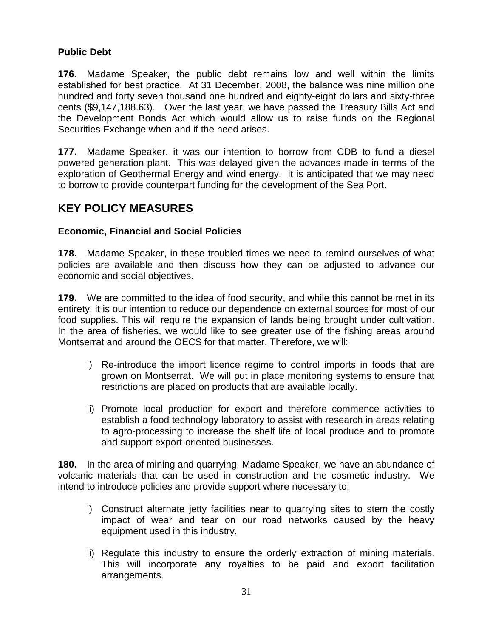### **Public Debt**

**176.** Madame Speaker, the public debt remains low and well within the limits established for best practice. At 31 December, 2008, the balance was nine million one hundred and forty seven thousand one hundred and eighty-eight dollars and sixty-three cents (\$9,147,188.63). Over the last year, we have passed the Treasury Bills Act and the Development Bonds Act which would allow us to raise funds on the Regional Securities Exchange when and if the need arises.

**177.** Madame Speaker, it was our intention to borrow from CDB to fund a diesel powered generation plant. This was delayed given the advances made in terms of the exploration of Geothermal Energy and wind energy. It is anticipated that we may need to borrow to provide counterpart funding for the development of the Sea Port.

## **KEY POLICY MEASURES**

### **Economic, Financial and Social Policies**

**178.** Madame Speaker, in these troubled times we need to remind ourselves of what policies are available and then discuss how they can be adjusted to advance our economic and social objectives.

**179.** We are committed to the idea of food security, and while this cannot be met in its entirety, it is our intention to reduce our dependence on external sources for most of our food supplies. This will require the expansion of lands being brought under cultivation. In the area of fisheries, we would like to see greater use of the fishing areas around Montserrat and around the OECS for that matter. Therefore, we will:

- i) Re-introduce the import licence regime to control imports in foods that are grown on Montserrat. We will put in place monitoring systems to ensure that restrictions are placed on products that are available locally.
- ii) Promote local production for export and therefore commence activities to establish a food technology laboratory to assist with research in areas relating to agro-processing to increase the shelf life of local produce and to promote and support export-oriented businesses.

**180.** In the area of mining and quarrying, Madame Speaker, we have an abundance of volcanic materials that can be used in construction and the cosmetic industry. We intend to introduce policies and provide support where necessary to:

- i) Construct alternate jetty facilities near to quarrying sites to stem the costly impact of wear and tear on our road networks caused by the heavy equipment used in this industry.
- ii) Regulate this industry to ensure the orderly extraction of mining materials. This will incorporate any royalties to be paid and export facilitation arrangements.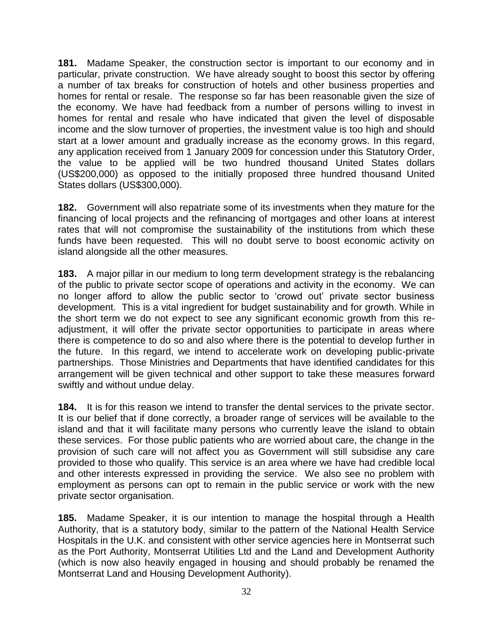**181.** Madame Speaker, the construction sector is important to our economy and in particular, private construction. We have already sought to boost this sector by offering a number of tax breaks for construction of hotels and other business properties and homes for rental or resale. The response so far has been reasonable given the size of the economy. We have had feedback from a number of persons willing to invest in homes for rental and resale who have indicated that given the level of disposable income and the slow turnover of properties, the investment value is too high and should start at a lower amount and gradually increase as the economy grows. In this regard, any application received from 1 January 2009 for concession under this Statutory Order, the value to be applied will be two hundred thousand United States dollars (US\$200,000) as opposed to the initially proposed three hundred thousand United States dollars (US\$300,000).

**182.** Government will also repatriate some of its investments when they mature for the financing of local projects and the refinancing of mortgages and other loans at interest rates that will not compromise the sustainability of the institutions from which these funds have been requested. This will no doubt serve to boost economic activity on island alongside all the other measures.

**183.** A major pillar in our medium to long term development strategy is the rebalancing of the public to private sector scope of operations and activity in the economy. We can no longer afford to allow the public sector to "crowd out" private sector business development. This is a vital ingredient for budget sustainability and for growth. While in the short term we do not expect to see any significant economic growth from this readjustment, it will offer the private sector opportunities to participate in areas where there is competence to do so and also where there is the potential to develop further in the future. In this regard, we intend to accelerate work on developing public-private partnerships. Those Ministries and Departments that have identified candidates for this arrangement will be given technical and other support to take these measures forward swiftly and without undue delay.

**184.** It is for this reason we intend to transfer the dental services to the private sector. It is our belief that if done correctly, a broader range of services will be available to the island and that it will facilitate many persons who currently leave the island to obtain these services. For those public patients who are worried about care, the change in the provision of such care will not affect you as Government will still subsidise any care provided to those who qualify. This service is an area where we have had credible local and other interests expressed in providing the service. We also see no problem with employment as persons can opt to remain in the public service or work with the new private sector organisation.

**185.** Madame Speaker, it is our intention to manage the hospital through a Health Authority, that is a statutory body, similar to the pattern of the National Health Service Hospitals in the U.K. and consistent with other service agencies here in Montserrat such as the Port Authority, Montserrat Utilities Ltd and the Land and Development Authority (which is now also heavily engaged in housing and should probably be renamed the Montserrat Land and Housing Development Authority).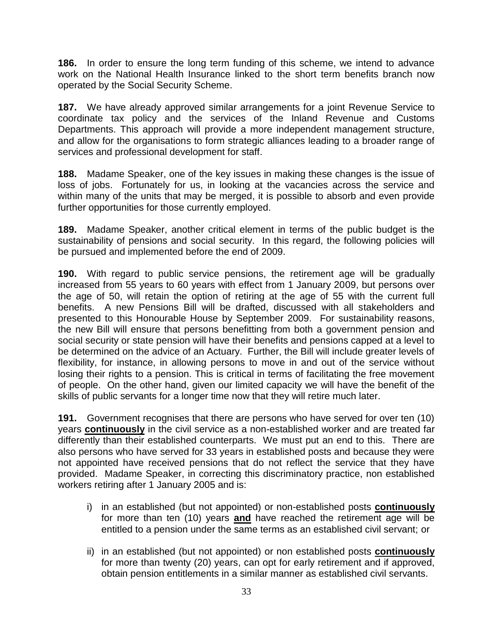**186.** In order to ensure the long term funding of this scheme, we intend to advance work on the National Health Insurance linked to the short term benefits branch now operated by the Social Security Scheme.

**187.** We have already approved similar arrangements for a joint Revenue Service to coordinate tax policy and the services of the Inland Revenue and Customs Departments. This approach will provide a more independent management structure, and allow for the organisations to form strategic alliances leading to a broader range of services and professional development for staff.

**188.** Madame Speaker, one of the key issues in making these changes is the issue of loss of jobs. Fortunately for us, in looking at the vacancies across the service and within many of the units that may be merged, it is possible to absorb and even provide further opportunities for those currently employed.

**189.** Madame Speaker, another critical element in terms of the public budget is the sustainability of pensions and social security. In this regard, the following policies will be pursued and implemented before the end of 2009.

**190.** With regard to public service pensions, the retirement age will be gradually increased from 55 years to 60 years with effect from 1 January 2009, but persons over the age of 50, will retain the option of retiring at the age of 55 with the current full benefits. A new Pensions Bill will be drafted, discussed with all stakeholders and presented to this Honourable House by September 2009. For sustainability reasons, the new Bill will ensure that persons benefitting from both a government pension and social security or state pension will have their benefits and pensions capped at a level to be determined on the advice of an Actuary. Further, the Bill will include greater levels of flexibility, for instance, in allowing persons to move in and out of the service without losing their rights to a pension. This is critical in terms of facilitating the free movement of people. On the other hand, given our limited capacity we will have the benefit of the skills of public servants for a longer time now that they will retire much later.

**191.** Government recognises that there are persons who have served for over ten (10) years **continuously** in the civil service as a non-established worker and are treated far differently than their established counterparts. We must put an end to this. There are also persons who have served for 33 years in established posts and because they were not appointed have received pensions that do not reflect the service that they have provided. Madame Speaker, in correcting this discriminatory practice, non established workers retiring after 1 January 2005 and is:

- i) in an established (but not appointed) or non-established posts **continuously**  for more than ten (10) years **and** have reached the retirement age will be entitled to a pension under the same terms as an established civil servant; or
- ii) in an established (but not appointed) or non established posts **continuously** for more than twenty (20) years, can opt for early retirement and if approved, obtain pension entitlements in a similar manner as established civil servants.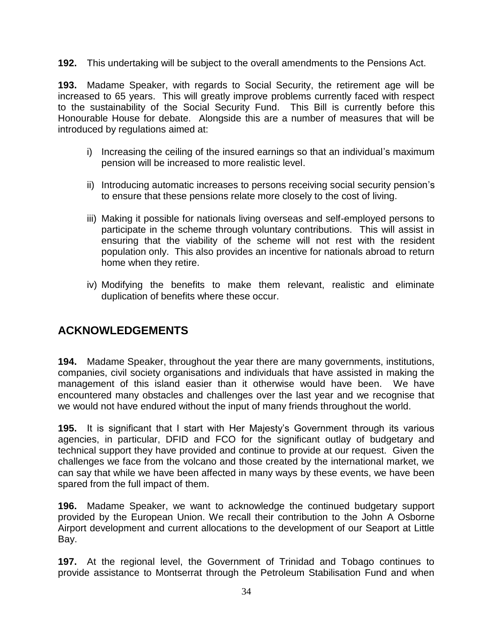**192.** This undertaking will be subject to the overall amendments to the Pensions Act.

**193.** Madame Speaker, with regards to Social Security, the retirement age will be increased to 65 years. This will greatly improve problems currently faced with respect to the sustainability of the Social Security Fund. This Bill is currently before this Honourable House for debate. Alongside this are a number of measures that will be introduced by regulations aimed at:

- i) Increasing the ceiling of the insured earnings so that an individual's maximum pension will be increased to more realistic level.
- ii) Introducing automatic increases to persons receiving social security pension"s to ensure that these pensions relate more closely to the cost of living.
- iii) Making it possible for nationals living overseas and self-employed persons to participate in the scheme through voluntary contributions. This will assist in ensuring that the viability of the scheme will not rest with the resident population only. This also provides an incentive for nationals abroad to return home when they retire.
- iv) Modifying the benefits to make them relevant, realistic and eliminate duplication of benefits where these occur.

## **ACKNOWLEDGEMENTS**

**194.** Madame Speaker, throughout the year there are many governments, institutions, companies, civil society organisations and individuals that have assisted in making the management of this island easier than it otherwise would have been. We have encountered many obstacles and challenges over the last year and we recognise that we would not have endured without the input of many friends throughout the world.

**195.** It is significant that I start with Her Majesty's Government through its various agencies, in particular, DFID and FCO for the significant outlay of budgetary and technical support they have provided and continue to provide at our request. Given the challenges we face from the volcano and those created by the international market, we can say that while we have been affected in many ways by these events, we have been spared from the full impact of them.

**196.** Madame Speaker, we want to acknowledge the continued budgetary support provided by the European Union. We recall their contribution to the John A Osborne Airport development and current allocations to the development of our Seaport at Little Bay.

**197.** At the regional level, the Government of Trinidad and Tobago continues to provide assistance to Montserrat through the Petroleum Stabilisation Fund and when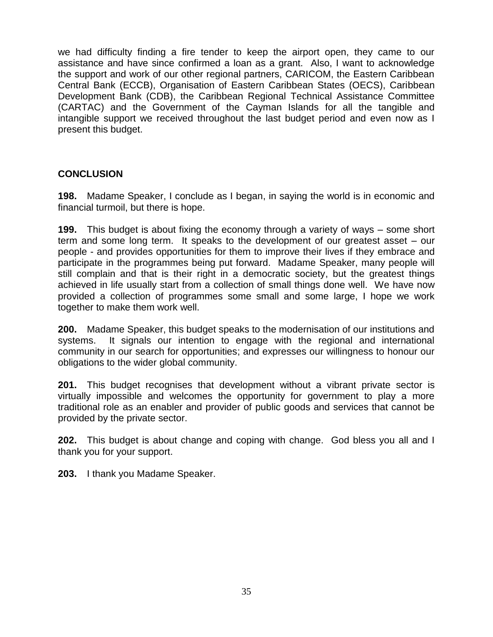we had difficulty finding a fire tender to keep the airport open, they came to our assistance and have since confirmed a loan as a grant. Also, I want to acknowledge the support and work of our other regional partners, CARICOM, the Eastern Caribbean Central Bank (ECCB), Organisation of Eastern Caribbean States (OECS), Caribbean Development Bank (CDB), the Caribbean Regional Technical Assistance Committee (CARTAC) and the Government of the Cayman Islands for all the tangible and intangible support we received throughout the last budget period and even now as I present this budget.

## **CONCLUSION**

**198.** Madame Speaker, I conclude as I began, in saying the world is in economic and financial turmoil, but there is hope.

**199.** This budget is about fixing the economy through a variety of ways – some short term and some long term. It speaks to the development of our greatest asset – our people - and provides opportunities for them to improve their lives if they embrace and participate in the programmes being put forward. Madame Speaker, many people will still complain and that is their right in a democratic society, but the greatest things achieved in life usually start from a collection of small things done well. We have now provided a collection of programmes some small and some large, I hope we work together to make them work well.

**200.** Madame Speaker, this budget speaks to the modernisation of our institutions and systems. It signals our intention to engage with the regional and international community in our search for opportunities; and expresses our willingness to honour our obligations to the wider global community.

**201.** This budget recognises that development without a vibrant private sector is virtually impossible and welcomes the opportunity for government to play a more traditional role as an enabler and provider of public goods and services that cannot be provided by the private sector.

**202.** This budget is about change and coping with change. God bless you all and I thank you for your support.

**203.** I thank you Madame Speaker.